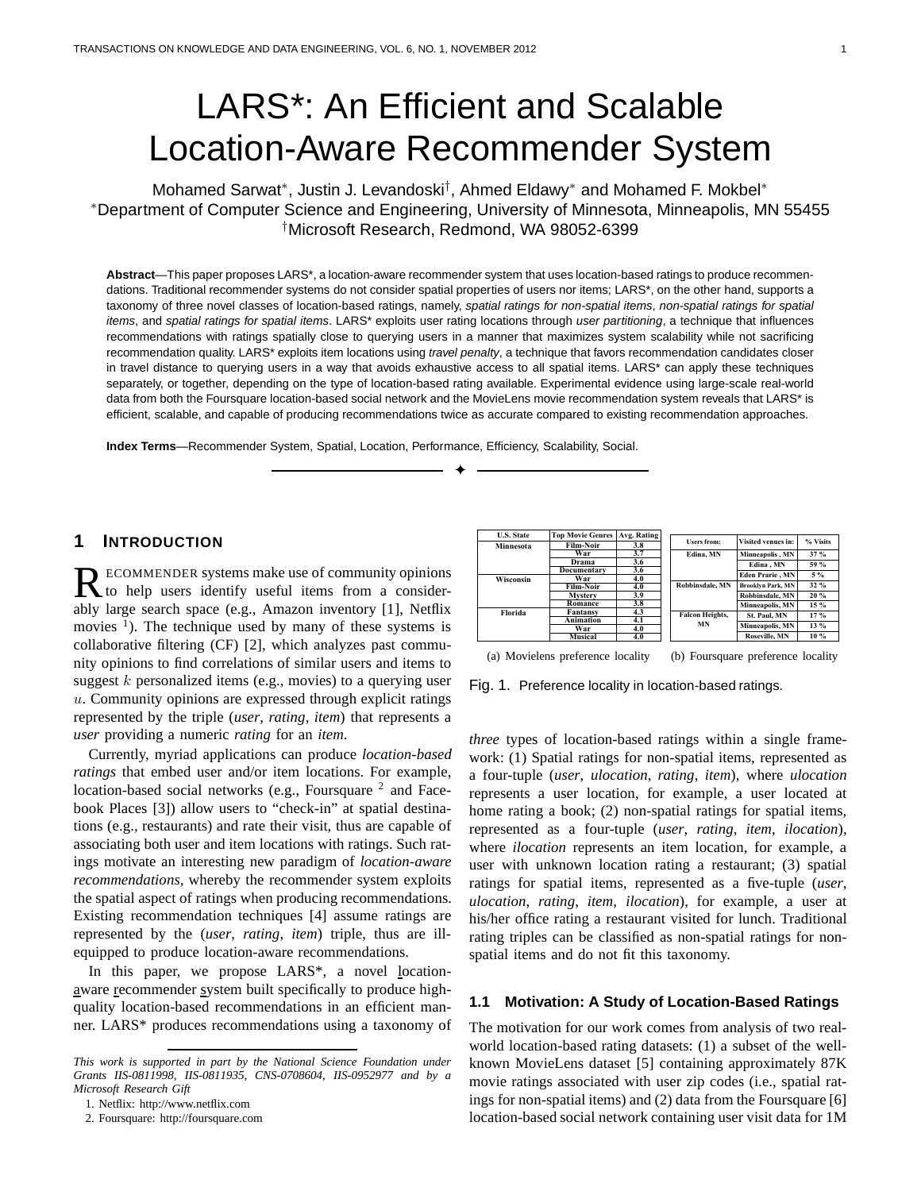# LARS\*: An Efficient and Scalable Location-Aware Recommender System

Mohamed Sarwat\*, Justin J. Levandoski<sup>†</sup>, Ahmed Eldawy\* and Mohamed F. Mokbel\* <sup>∗</sup>Department of Computer Science and Engineering, University of Minnesota, Minneapolis, MN 55455 †Microsoft Research, Redmond, WA 98052-6399

**Abstract**—This paper proposes LARS\*, a location-aware recommender system that uses location-based ratings to produce recommendations. Traditional recommender systems do not consider spatial properties of users nor items; LARS\*, on the other hand, supports a taxonomy of three novel classes of location-based ratings, namely, spatial ratings for non-spatial items, non-spatial ratings for spatial items, and spatial ratings for spatial items. LARS\* exploits user rating locations through user partitioning, a technique that influences recommendations with ratings spatially close to querying users in a manner that maximizes system scalability while not sacrificing recommendation quality. LARS\* exploits item locations using travel penalty, a technique that favors recommendation candidates closer in travel distance to querying users in a way that avoids exhaustive access to all spatial items. LARS\* can apply these techniques separately, or together, depending on the type of location-based rating available. Experimental evidence using large-scale real-world data from both the Foursquare location-based social network and the MovieLens movie recommendation system reveals that LARS\* is efficient, scalable, and capable of producing recommendations twice as accurate compared to existing recommendation approaches.

✦

**Index Terms**—Recommender System, Spatial, Location, Performance, Efficiency, Scalability, Social.

# **1 INTRODUCTION**

**RECOMMENDER systems make use of community opinions**<br>to help users identify useful items from a consider-ECOMMENDER systems make use of community opinions ably large search space (e.g., Amazon inventory [1], Netflix movies  $\frac{1}{1}$ ). The technique used by many of these systems is collaborative filtering (CF) [2], which analyzes past community opinions to find correlations of similar users and items to suggest  $k$  personalized items (e.g., movies) to a querying user  $u$ . Community opinions are expressed through explicit ratings represented by the triple (*user*, *rating*, *item*) that represents a *user* providing a numeric *rating* for an *item*.

Currently, myriad applications can produce *location-based ratings* that embed user and/or item locations. For example, location-based social networks (e.g., Foursquare <sup>2</sup> and Facebook Places [3]) allow users to "check-in" at spatial destinations (e.g., restaurants) and rate their visit, thus are capable of associating both user and item locations with ratings. Such ratings motivate an interesting new paradigm of *location-aware recommendations*, whereby the recommender system exploits the spatial aspect of ratings when producing recommendations. Existing recommendation techniques [4] assume ratings are represented by the (*user*, *rating*, *item*) triple, thus are illequipped to produce location-aware recommendations.

In this paper, we propose LARS<sup>\*</sup>, a novel locationaware recommender system built specifically to produce highquality location-based recommendations in an efficient manner. LARS\* produces recommendations using a taxonomy of

| <b>U.S. State</b> | <b>Top Movie Genres</b>           | Avg. Rating |                                    |                          |          |
|-------------------|-----------------------------------|-------------|------------------------------------|--------------------------|----------|
| Minnesota         | Film-Noir                         | 3.8         | <b>Users</b> from:                 | Visited venues in:       | % Visits |
|                   | War                               | 3.7         | Edina, MN                          | Minneapolis, MN          | 37%      |
|                   | Drama                             | 3.6         |                                    | Edina, MN                | 59 %     |
|                   | Documentary                       | 3.6         |                                    |                          |          |
| Wisconsin         | War                               | 4.0         |                                    | <b>Eden Prarie</b> , MN  | 5%       |
|                   | <b>Film-Noir</b>                  | 4.0         | Robbinsdale, MN                    | <b>Brooklyn Park, MN</b> | $32\%$   |
|                   | <b>Mystery</b>                    | 3.9         |                                    | Robbinsdale, MN          | 20%      |
|                   | Romance                           | 3.8         |                                    | Minneapolis, MN          | $15\%$   |
| <b>Florida</b>    | Fantansv                          | 4.3         | <b>Falcon Heights,</b>             | St. Paul. MN             | 17%      |
|                   | Animation                         | 4.1         |                                    |                          |          |
|                   | War                               | 4.0         | MN                                 | Minneapolis, MN          | $13\%$   |
|                   | <b>Musical</b>                    | 4.0         |                                    | Roseville, MN            | $10\%$   |
|                   | (a) Movielens preference locality |             | (b) Foursquare preference locality |                          |          |

Fig. 1. Preference locality in location-based ratings.

*three* types of location-based ratings within a single framework: (1) Spatial ratings for non-spatial items, represented as a four-tuple (*user*, *ulocation*, *rating*, *item*), where *ulocation* represents a user location, for example, a user located at home rating a book; (2) non-spatial ratings for spatial items, represented as a four-tuple (*user*, *rating*, *item*, *ilocation*), where *ilocation* represents an item location, for example, a user with unknown location rating a restaurant; (3) spatial ratings for spatial items, represented as a five-tuple (*user*, *ulocation*, *rating*, *item*, *ilocation*), for example, a user at his/her office rating a restaurant visited for lunch. Traditional rating triples can be classified as non-spatial ratings for nonspatial items and do not fit this taxonomy.

## **1.1 Motivation: A Study of Location-Based Ratings**

The motivation for our work comes from analysis of two realworld location-based rating datasets: (1) a subset of the wellknown MovieLens dataset [5] containing approximately 87K movie ratings associated with user zip codes (i.e., spatial ratings for non-spatial items) and (2) data from the Foursquare [6] location-based social network containing user visit data for 1M

*This work is supported in part by the National Science Foundation under Grants IIS-0811998, IIS-0811935, CNS-0708604, IIS-0952977 and by a Microsoft Research Gift*

<sup>1.</sup> Netflix: http://www.netflix.com

<sup>2.</sup> Foursquare: http://foursquare.com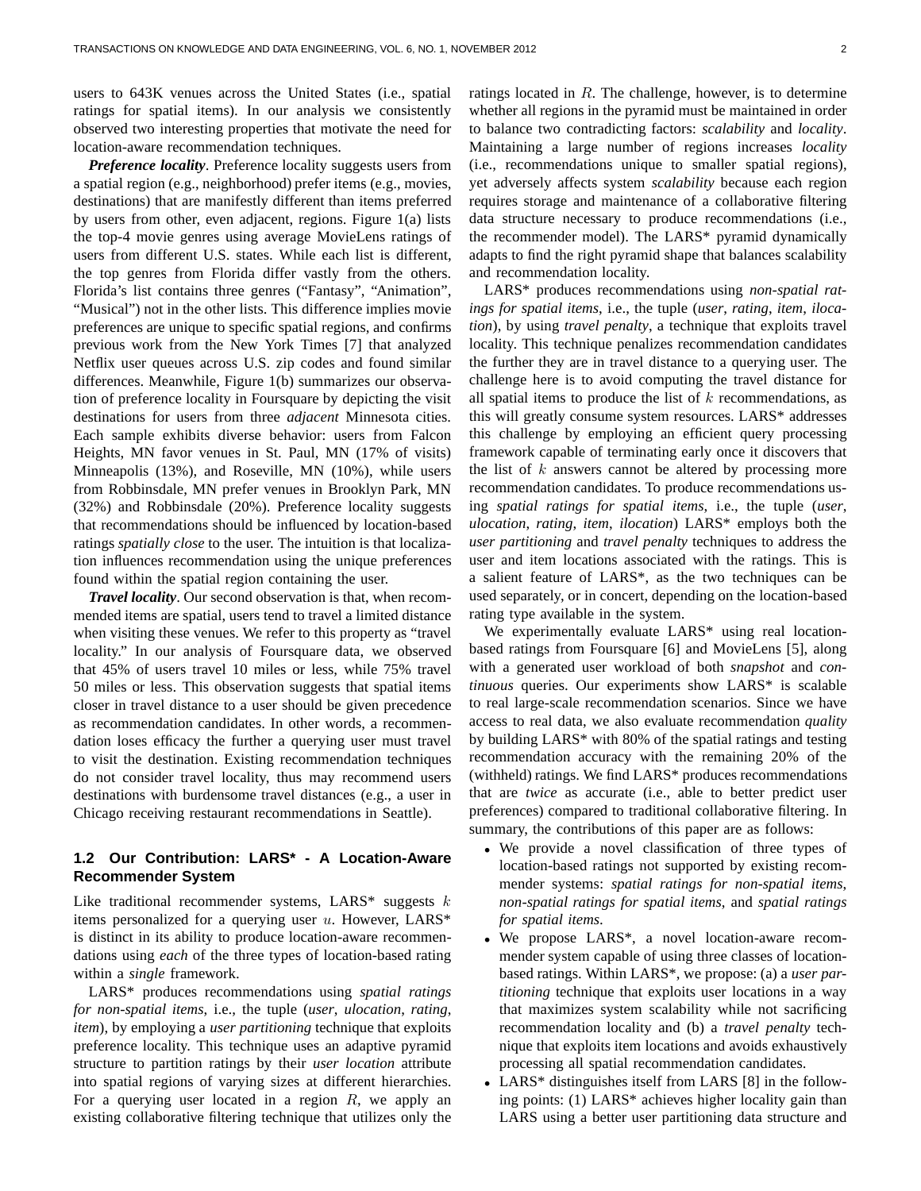users to 643K venues across the United States (i.e., spatial ratings for spatial items). In our analysis we consistently observed two interesting properties that motivate the need for location-aware recommendation techniques.

*Preference locality*. Preference locality suggests users from a spatial region (e.g., neighborhood) prefer items (e.g., movies, destinations) that are manifestly different than items preferred by users from other, even adjacent, regions. Figure 1(a) lists the top-4 movie genres using average MovieLens ratings of users from different U.S. states. While each list is different, the top genres from Florida differ vastly from the others. Florida's list contains three genres ("Fantasy", "Animation", "Musical") not in the other lists. This difference implies movie preferences are unique to specific spatial regions, and confirms previous work from the New York Times [7] that analyzed Netflix user queues across U.S. zip codes and found similar differences. Meanwhile, Figure 1(b) summarizes our observation of preference locality in Foursquare by depicting the visit destinations for users from three *adjacent* Minnesota cities. Each sample exhibits diverse behavior: users from Falcon Heights, MN favor venues in St. Paul, MN (17% of visits) Minneapolis (13%), and Roseville, MN (10%), while users from Robbinsdale, MN prefer venues in Brooklyn Park, MN (32%) and Robbinsdale (20%). Preference locality suggests that recommendations should be influenced by location-based ratings *spatially close* to the user. The intuition is that localization influences recommendation using the unique preferences found within the spatial region containing the user.

*Travel locality*. Our second observation is that, when recommended items are spatial, users tend to travel a limited distance when visiting these venues. We refer to this property as "travel locality." In our analysis of Foursquare data, we observed that 45% of users travel 10 miles or less, while 75% travel 50 miles or less. This observation suggests that spatial items closer in travel distance to a user should be given precedence as recommendation candidates. In other words, a recommendation loses efficacy the further a querying user must travel to visit the destination. Existing recommendation techniques do not consider travel locality, thus may recommend users destinations with burdensome travel distances (e.g., a user in Chicago receiving restaurant recommendations in Seattle).

# **1.2 Our Contribution: LARS\* - A Location-Aware Recommender System**

Like traditional recommender systems, LARS\* suggests  $k$ items personalized for a querying user  $u$ . However, LARS\* is distinct in its ability to produce location-aware recommendations using *each* of the three types of location-based rating within a *single* framework.

LARS\* produces recommendations using *spatial ratings for non-spatial items*, i.e., the tuple (*user*, *ulocation*, *rating*, *item*), by employing a *user partitioning* technique that exploits preference locality. This technique uses an adaptive pyramid structure to partition ratings by their *user location* attribute into spatial regions of varying sizes at different hierarchies. For a querying user located in a region  $R$ , we apply an existing collaborative filtering technique that utilizes only the ratings located in  $R$ . The challenge, however, is to determine whether all regions in the pyramid must be maintained in order to balance two contradicting factors: *scalability* and *locality*. Maintaining a large number of regions increases *locality* (i.e., recommendations unique to smaller spatial regions), yet adversely affects system *scalability* because each region requires storage and maintenance of a collaborative filtering data structure necessary to produce recommendations (i.e., the recommender model). The LARS\* pyramid dynamically adapts to find the right pyramid shape that balances scalability and recommendation locality.

LARS\* produces recommendations using *non-spatial ratings for spatial items*, i.e., the tuple (*user*, *rating*, *item*, *ilocation*), by using *travel penalty*, a technique that exploits travel locality. This technique penalizes recommendation candidates the further they are in travel distance to a querying user. The challenge here is to avoid computing the travel distance for all spatial items to produce the list of  $k$  recommendations, as this will greatly consume system resources. LARS\* addresses this challenge by employing an efficient query processing framework capable of terminating early once it discovers that the list of  $k$  answers cannot be altered by processing more recommendation candidates. To produce recommendations using *spatial ratings for spatial items*, i.e., the tuple (*user*, *ulocation*, *rating*, *item*, *ilocation*) LARS\* employs both the *user partitioning* and *travel penalty* techniques to address the user and item locations associated with the ratings. This is a salient feature of LARS\*, as the two techniques can be used separately, or in concert, depending on the location-based rating type available in the system.

We experimentally evaluate LARS\* using real locationbased ratings from Foursquare [6] and MovieLens [5], along with a generated user workload of both *snapshot* and *continuous* queries. Our experiments show LARS\* is scalable to real large-scale recommendation scenarios. Since we have access to real data, we also evaluate recommendation *quality* by building LARS\* with 80% of the spatial ratings and testing recommendation accuracy with the remaining 20% of the (withheld) ratings. We find LARS\* produces recommendations that are *twice* as accurate (i.e., able to better predict user preferences) compared to traditional collaborative filtering. In summary, the contributions of this paper are as follows:

- We provide a novel classification of three types of location-based ratings not supported by existing recommender systems: *spatial ratings for non-spatial items*, *non-spatial ratings for spatial items*, and *spatial ratings for spatial items*.
- We propose LARS\*, a novel location-aware recommender system capable of using three classes of locationbased ratings. Within LARS\*, we propose: (a) a *user partitioning* technique that exploits user locations in a way that maximizes system scalability while not sacrificing recommendation locality and (b) a *travel penalty* technique that exploits item locations and avoids exhaustively processing all spatial recommendation candidates.
- $LARS*$  distinguishes itself from  $LARS$  [8] in the following points: (1) LARS\* achieves higher locality gain than LARS using a better user partitioning data structure and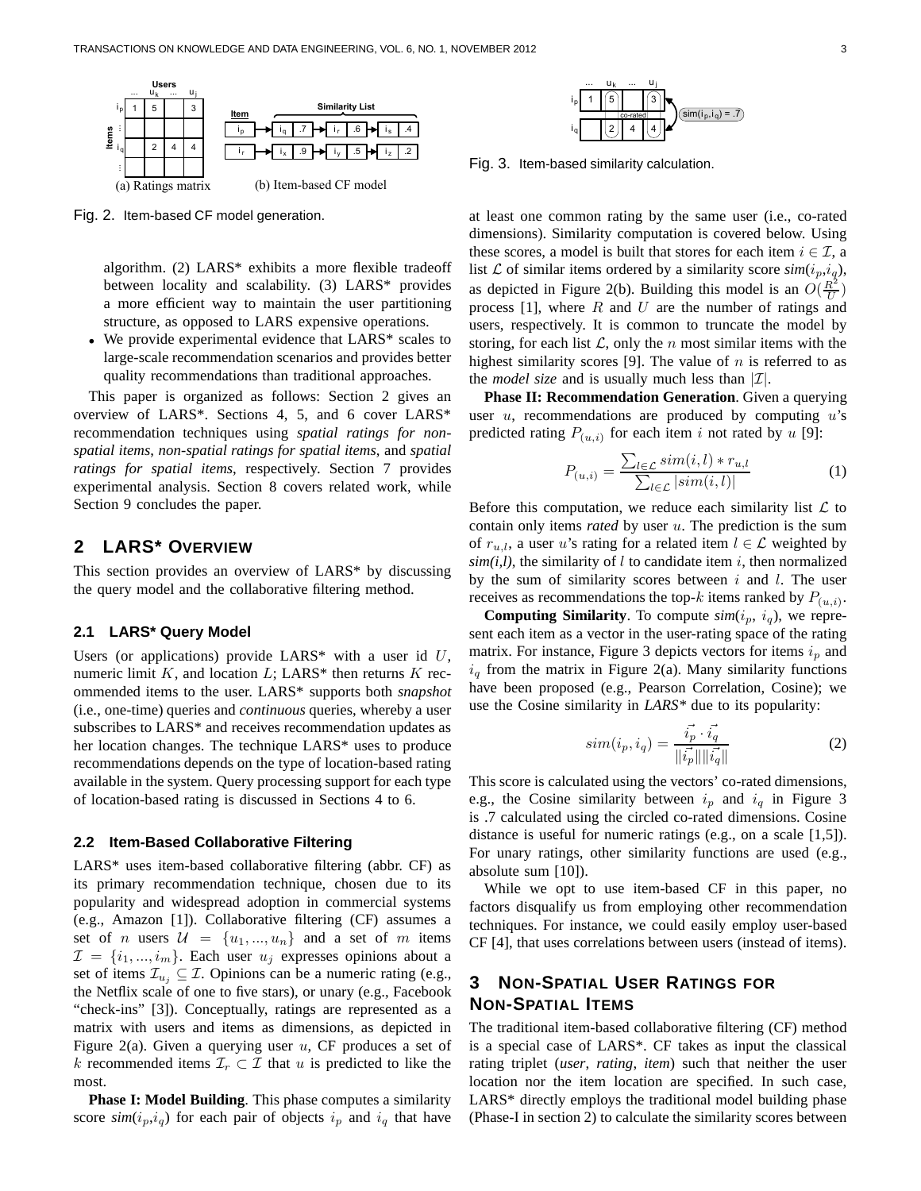

Fig. 2. Item-based CF model generation.

algorithm. (2) LARS\* exhibits a more flexible tradeoff between locality and scalability. (3) LARS\* provides a more efficient way to maintain the user partitioning structure, as opposed to LARS expensive operations.

• We provide experimental evidence that LARS\* scales to large-scale recommendation scenarios and provides better quality recommendations than traditional approaches.

This paper is organized as follows: Section 2 gives an overview of LARS\*. Sections 4, 5, and 6 cover LARS\* recommendation techniques using *spatial ratings for nonspatial items*, *non-spatial ratings for spatial items*, and *spatial ratings for spatial items*, respectively. Section 7 provides experimental analysis. Section 8 covers related work, while Section 9 concludes the paper.

# **2 LARS\* OVERVIEW**

This section provides an overview of LARS\* by discussing the query model and the collaborative filtering method.

#### **2.1 LARS\* Query Model**

Users (or applications) provide LARS\* with a user id  $U$ , numeric limit K, and location  $L$ ; LARS\* then returns K recommended items to the user. LARS\* supports both *snapshot* (i.e., one-time) queries and *continuous* queries, whereby a user subscribes to LARS\* and receives recommendation updates as her location changes. The technique LARS\* uses to produce recommendations depends on the type of location-based rating available in the system. Query processing support for each type of location-based rating is discussed in Sections 4 to 6.

## **2.2 Item-Based Collaborative Filtering**

LARS\* uses item-based collaborative filtering (abbr. CF) as its primary recommendation technique, chosen due to its popularity and widespread adoption in commercial systems (e.g., Amazon [1]). Collaborative filtering (CF) assumes a set of *n* users  $\mathcal{U} = \{u_1, ..., u_n\}$  and a set of *m* items  $\mathcal{I} = \{i_1, ..., i_m\}$ . Each user  $u_j$  expresses opinions about a set of items  $\mathcal{I}_{u_i} \subseteq \mathcal{I}$ . Opinions can be a numeric rating (e.g., the Netflix scale of one to five stars), or unary (e.g., Facebook "check-ins" [3]). Conceptually, ratings are represented as a matrix with users and items as dimensions, as depicted in Figure 2(a). Given a querying user u, CF produces a set of k recommended items  $\mathcal{I}_r \subset \mathcal{I}$  that u is predicted to like the most.

**Phase I: Model Building**. This phase computes a similarity score  $\textit{sim}(i_p, i_q)$  for each pair of objects  $i_p$  and  $i_q$  that have



Fig. 3. Item-based similarity calculation.

at least one common rating by the same user (i.e., co-rated dimensions). Similarity computation is covered below. Using these scores, a model is built that stores for each item  $i \in \mathcal{I}$ , a list  $\mathcal L$  of similar items ordered by a similarity score  $\text{sim}(i_p, i_q)$ , as depicted in Figure 2(b). Building this model is an  $O(\frac{R^2}{U})$  $\frac{R^2}{U}$ process  $[1]$ , where R and U are the number of ratings and users, respectively. It is common to truncate the model by storing, for each list  $\mathcal{L}$ , only the n most similar items with the highest similarity scores [9]. The value of  $n$  is referred to as the *model size* and is usually much less than  $|\mathcal{I}|$ .

**Phase II: Recommendation Generation**. Given a querying user  $u$ , recommendations are produced by computing  $u$ 's predicted rating  $P_{(u,i)}$  for each item i not rated by u [9]:

$$
P_{(u,i)} = \frac{\sum_{l \in \mathcal{L}} sim(i, l) * r_{u,l}}{\sum_{l \in \mathcal{L}} |sim(i, l)|}
$$
(1)

Before this computation, we reduce each similarity list  $\mathcal L$  to contain only items *rated* by user u. The prediction is the sum of  $r_{u,l}$ , a user u's rating for a related item  $l \in \mathcal{L}$  weighted by  $sim(i, l)$ , the similarity of l to candidate item i, then normalized by the sum of similarity scores between  $i$  and  $l$ . The user receives as recommendations the top- $k$  items ranked by  $P_{(u,i)}$ .

**Computing Similarity**. To compute  $\text{sim}(i_p, i_q)$ , we represent each item as a vector in the user-rating space of the rating matrix. For instance, Figure 3 depicts vectors for items  $i_p$  and  $i_q$  from the matrix in Figure 2(a). Many similarity functions have been proposed (e.g., Pearson Correlation, Cosine); we use the Cosine similarity in *LARS\** due to its popularity:

$$
sim(i_p, i_q) = \frac{\vec{i_p} \cdot \vec{i_q}}{\|\vec{i_p}\| \|\vec{i_q}\|}
$$
 (2)

This score is calculated using the vectors' co-rated dimensions, e.g., the Cosine similarity between  $i_p$  and  $i_q$  in Figure 3 is .7 calculated using the circled co-rated dimensions. Cosine distance is useful for numeric ratings (e.g., on a scale [1,5]). For unary ratings, other similarity functions are used (e.g., absolute sum [10]).

While we opt to use item-based CF in this paper, no factors disqualify us from employing other recommendation techniques. For instance, we could easily employ user-based CF [4], that uses correlations between users (instead of items).

# **3 NON-SPATIAL USER RATINGS FOR NON-SPATIAL ITEMS**

The traditional item-based collaborative filtering (CF) method is a special case of LARS\*. CF takes as input the classical rating triplet (*user*, *rating*, *item*) such that neither the user location nor the item location are specified. In such case, LARS\* directly employs the traditional model building phase (Phase-I in section 2) to calculate the similarity scores between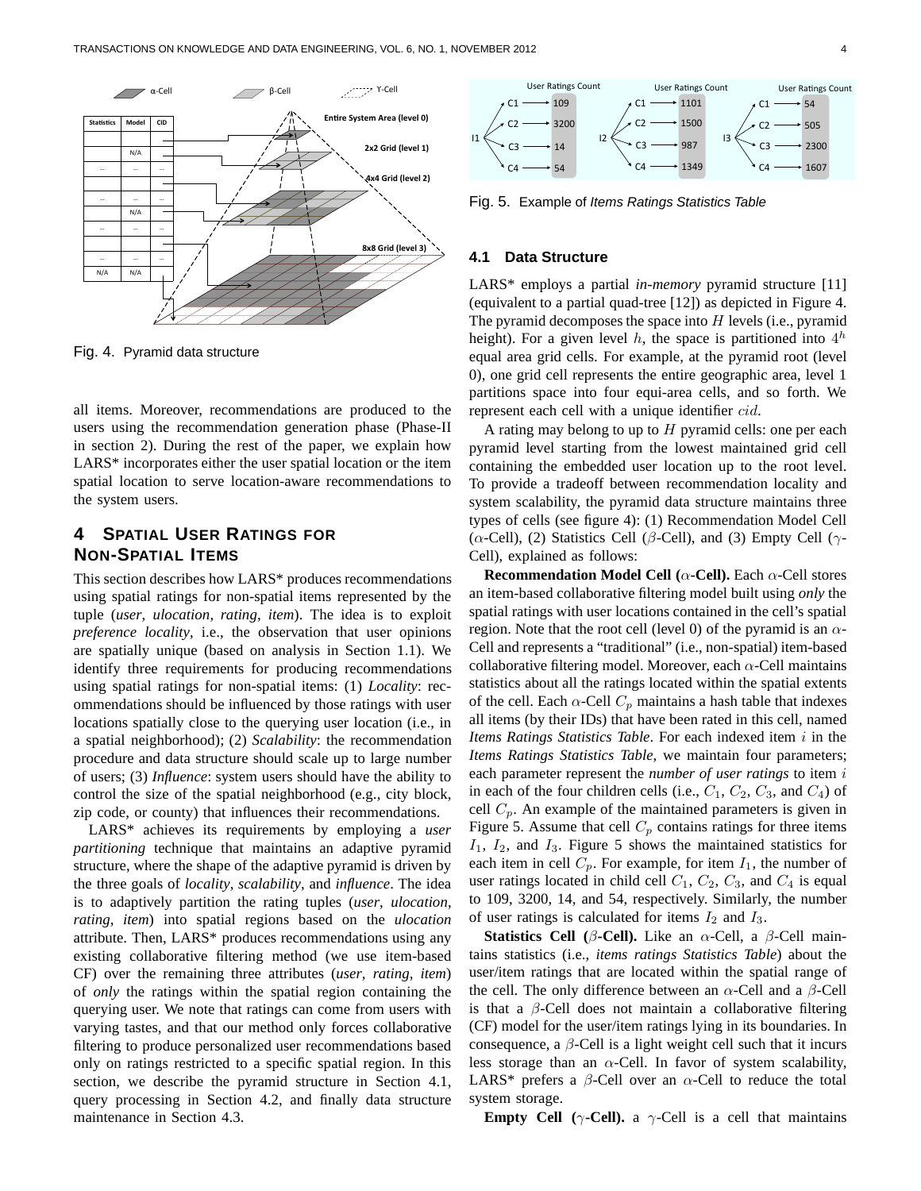

Fig. 4. Pyramid data structure

all items. Moreover, recommendations are produced to the users using the recommendation generation phase (Phase-II in section 2). During the rest of the paper, we explain how LARS\* incorporates either the user spatial location or the item spatial location to serve location-aware recommendations to the system users.

# **4 SPATIAL USER RATINGS FOR NON-SPATIAL ITEMS**

This section describes how LARS\* produces recommendations using spatial ratings for non-spatial items represented by the tuple (*user*, *ulocation*, *rating*, *item*). The idea is to exploit *preference locality*, i.e., the observation that user opinions are spatially unique (based on analysis in Section 1.1). We identify three requirements for producing recommendations using spatial ratings for non-spatial items: (1) *Locality*: recommendations should be influenced by those ratings with user locations spatially close to the querying user location (i.e., in a spatial neighborhood); (2) *Scalability*: the recommendation procedure and data structure should scale up to large number of users; (3) *Influence*: system users should have the ability to control the size of the spatial neighborhood (e.g., city block, zip code, or county) that influences their recommendations.

LARS\* achieves its requirements by employing a *user partitioning* technique that maintains an adaptive pyramid structure, where the shape of the adaptive pyramid is driven by the three goals of *locality*, *scalability*, and *influence*. The idea is to adaptively partition the rating tuples (*user*, *ulocation*, *rating*, *item*) into spatial regions based on the *ulocation* attribute. Then, LARS\* produces recommendations using any existing collaborative filtering method (we use item-based CF) over the remaining three attributes (*user*, *rating*, *item*) of *only* the ratings within the spatial region containing the querying user. We note that ratings can come from users with varying tastes, and that our method only forces collaborative filtering to produce personalized user recommendations based only on ratings restricted to a specific spatial region. In this section, we describe the pyramid structure in Section 4.1, query processing in Section 4.2, and finally data structure maintenance in Section 4.3.



Fig. 5. Example of Items Ratings Statistics Table

#### **4.1 Data Structure**

LARS\* employs a partial *in-memory* pyramid structure [11] (equivalent to a partial quad-tree [12]) as depicted in Figure 4. The pyramid decomposes the space into  $H$  levels (i.e., pyramid height). For a given level h, the space is partitioned into  $4^h$ equal area grid cells. For example, at the pyramid root (level 0), one grid cell represents the entire geographic area, level 1 partitions space into four equi-area cells, and so forth. We represent each cell with a unique identifier *cid*.

A rating may belong to up to  $H$  pyramid cells: one per each pyramid level starting from the lowest maintained grid cell containing the embedded user location up to the root level. To provide a tradeoff between recommendation locality and system scalability, the pyramid data structure maintains three types of cells (see figure 4): (1) Recommendation Model Cell ( $\alpha$ -Cell), (2) Statistics Cell ( $\beta$ -Cell), and (3) Empty Cell ( $\gamma$ -Cell), explained as follows:

**Recommendation Model Cell (**α**-Cell).** Each α-Cell stores an item-based collaborative filtering model built using *only* the spatial ratings with user locations contained in the cell's spatial region. Note that the root cell (level 0) of the pyramid is an  $\alpha$ -Cell and represents a "traditional" (i.e., non-spatial) item-based collaborative filtering model. Moreover, each  $\alpha$ -Cell maintains statistics about all the ratings located within the spatial extents of the cell. Each  $\alpha$ -Cell  $C_p$  maintains a hash table that indexes all items (by their IDs) that have been rated in this cell, named *Items Ratings Statistics Table*. For each indexed item i in the *Items Ratings Statistics Table*, we maintain four parameters; each parameter represent the *number of user ratings* to item i in each of the four children cells (i.e.,  $C_1$ ,  $C_2$ ,  $C_3$ , and  $C_4$ ) of cell  $C_p$ . An example of the maintained parameters is given in Figure 5. Assume that cell  $C_p$  contains ratings for three items  $I_1$ ,  $I_2$ , and  $I_3$ . Figure 5 shows the maintained statistics for each item in cell  $C_p$ . For example, for item  $I_1$ , the number of user ratings located in child cell  $C_1$ ,  $C_2$ ,  $C_3$ , and  $C_4$  is equal to 109, 3200, 14, and 54, respectively. Similarly, the number of user ratings is calculated for items  $I_2$  and  $I_3$ .

**Statistics Cell (** $\beta$ **-Cell).** Like an  $\alpha$ -Cell, a  $\beta$ -Cell maintains statistics (i.e., *items ratings Statistics Table*) about the user/item ratings that are located within the spatial range of the cell. The only difference between an  $\alpha$ -Cell and a  $\beta$ -Cell is that a  $\beta$ -Cell does not maintain a collaborative filtering (CF) model for the user/item ratings lying in its boundaries. In consequence, a  $\beta$ -Cell is a light weight cell such that it incurs less storage than an  $\alpha$ -Cell. In favor of system scalability, LARS\* prefers a  $\beta$ -Cell over an  $\alpha$ -Cell to reduce the total system storage.

**Empty Cell** ( $\gamma$ -Cell). a  $\gamma$ -Cell is a cell that maintains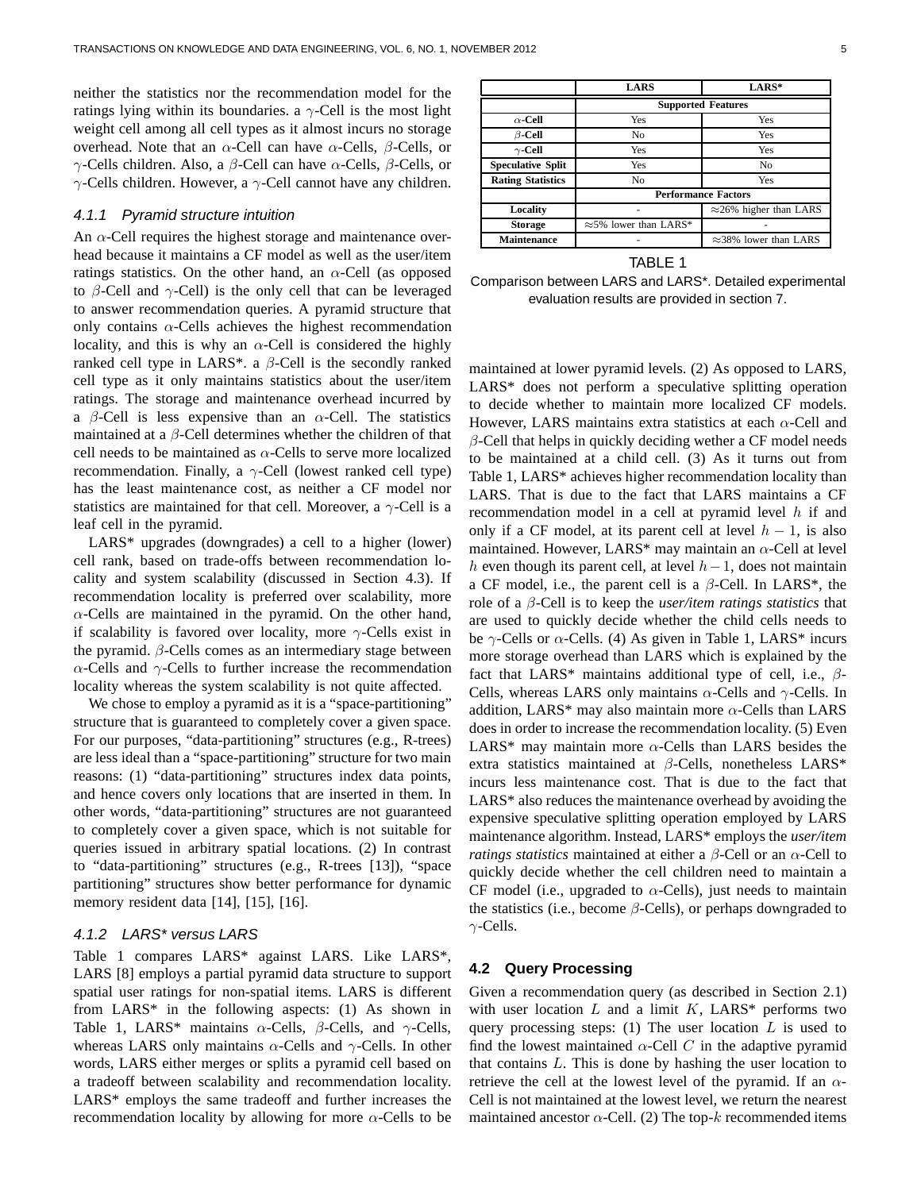neither the statistics nor the recommendation model for the ratings lying within its boundaries. a  $\gamma$ -Cell is the most light weight cell among all cell types as it almost incurs no storage overhead. Note that an  $\alpha$ -Cell can have  $\alpha$ -Cells,  $\beta$ -Cells, or γ-Cells children. Also, a β-Cell can have α-Cells, β-Cells, or  $\gamma$ -Cells children. However, a  $\gamma$ -Cell cannot have any children.

#### 4.1.1 Pyramid structure intuition

An  $\alpha$ -Cell requires the highest storage and maintenance overhead because it maintains a CF model as well as the user/item ratings statistics. On the other hand, an  $\alpha$ -Cell (as opposed to  $\beta$ -Cell and  $\gamma$ -Cell) is the only cell that can be leveraged to answer recommendation queries. A pyramid structure that only contains  $\alpha$ -Cells achieves the highest recommendation locality, and this is why an  $\alpha$ -Cell is considered the highly ranked cell type in LARS\*. a  $β$ -Cell is the secondly ranked cell type as it only maintains statistics about the user/item ratings. The storage and maintenance overhead incurred by a  $\beta$ -Cell is less expensive than an  $\alpha$ -Cell. The statistics maintained at a  $\beta$ -Cell determines whether the children of that cell needs to be maintained as  $\alpha$ -Cells to serve more localized recommendation. Finally, a  $\gamma$ -Cell (lowest ranked cell type) has the least maintenance cost, as neither a CF model nor statistics are maintained for that cell. Moreover, a  $\gamma$ -Cell is a leaf cell in the pyramid.

LARS\* upgrades (downgrades) a cell to a higher (lower) cell rank, based on trade-offs between recommendation locality and system scalability (discussed in Section 4.3). If recommendation locality is preferred over scalability, more  $\alpha$ -Cells are maintained in the pyramid. On the other hand, if scalability is favored over locality, more  $\gamma$ -Cells exist in the pyramid.  $\beta$ -Cells comes as an intermediary stage between  $\alpha$ -Cells and  $\gamma$ -Cells to further increase the recommendation locality whereas the system scalability is not quite affected.

We chose to employ a pyramid as it is a "space-partitioning" structure that is guaranteed to completely cover a given space. For our purposes, "data-partitioning" structures (e.g., R-trees) are less ideal than a "space-partitioning" structure for two main reasons: (1) "data-partitioning" structures index data points, and hence covers only locations that are inserted in them. In other words, "data-partitioning" structures are not guaranteed to completely cover a given space, which is not suitable for queries issued in arbitrary spatial locations. (2) In contrast to "data-partitioning" structures (e.g., R-trees [13]), "space partitioning" structures show better performance for dynamic memory resident data [14], [15], [16].

## 4.1.2 LARS\* versus LARS

Table 1 compares LARS\* against LARS. Like LARS\*, LARS [8] employs a partial pyramid data structure to support spatial user ratings for non-spatial items. LARS is different from LARS\* in the following aspects: (1) As shown in Table 1, LARS\* maintains  $\alpha$ -Cells,  $\beta$ -Cells, and  $\gamma$ -Cells, whereas LARS only maintains  $\alpha$ -Cells and  $\gamma$ -Cells. In other words, LARS either merges or splits a pyramid cell based on a tradeoff between scalability and recommendation locality. LARS\* employs the same tradeoff and further increases the recommendation locality by allowing for more  $\alpha$ -Cells to be

| <b>LARS</b>                                         | $LARS*$        |  |
|-----------------------------------------------------|----------------|--|
| <b>Supported Features</b>                           |                |  |
| Yes                                                 | Yes            |  |
| N <sub>0</sub>                                      | Yes            |  |
| Yes                                                 | Yes            |  |
| Yes                                                 | N <sub>0</sub> |  |
| Yes<br>N <sub>0</sub>                               |                |  |
| <b>Performance Factors</b>                          |                |  |
| $\approx$ 26% higher than LARS<br>Locality          |                |  |
| $\approx$ 5% lower than LARS*<br><b>Storage</b>     |                |  |
| <b>Maintenance</b><br>$\approx$ 38% lower than LARS |                |  |
|                                                     |                |  |

TABLE 1

Comparison between LARS and LARS\*. Detailed experimental evaluation results are provided in section 7.

maintained at lower pyramid levels. (2) As opposed to LARS, LARS\* does not perform a speculative splitting operation to decide whether to maintain more localized CF models. However, LARS maintains extra statistics at each  $\alpha$ -Cell and  $\beta$ -Cell that helps in quickly deciding wether a CF model needs to be maintained at a child cell. (3) As it turns out from Table 1, LARS\* achieves higher recommendation locality than LARS. That is due to the fact that LARS maintains a CF recommendation model in a cell at pyramid level h if and only if a CF model, at its parent cell at level  $h - 1$ , is also maintained. However, LARS\* may maintain an  $\alpha$ -Cell at level h even though its parent cell, at level  $h-1$ , does not maintain a CF model, i.e., the parent cell is a  $\beta$ -Cell. In LARS<sup>\*</sup>, the role of a β-Cell is to keep the *user/item ratings statistics* that are used to quickly decide whether the child cells needs to be  $\gamma$ -Cells or  $\alpha$ -Cells. (4) As given in Table 1, LARS\* incurs more storage overhead than LARS which is explained by the fact that LARS\* maintains additional type of cell, i.e.,  $\beta$ -Cells, whereas LARS only maintains  $\alpha$ -Cells and  $\gamma$ -Cells. In addition, LARS\* may also maintain more  $\alpha$ -Cells than LARS does in order to increase the recommendation locality. (5) Even LARS\* may maintain more  $\alpha$ -Cells than LARS besides the extra statistics maintained at β-Cells, nonetheless LARS\* incurs less maintenance cost. That is due to the fact that LARS\* also reduces the maintenance overhead by avoiding the expensive speculative splitting operation employed by LARS maintenance algorithm. Instead, LARS\* employs the *user/item ratings statistics* maintained at either a  $\beta$ -Cell or an  $\alpha$ -Cell to quickly decide whether the cell children need to maintain a CF model (i.e., upgraded to  $\alpha$ -Cells), just needs to maintain the statistics (i.e., become  $\beta$ -Cells), or perhaps downgraded to  $\gamma$ -Cells.

#### **4.2 Query Processing**

Given a recommendation query (as described in Section 2.1) with user location  $L$  and a limit  $K$ , LARS\* performs two query processing steps: (1) The user location  $L$  is used to find the lowest maintained  $\alpha$ -Cell C in the adaptive pyramid that contains L. This is done by hashing the user location to retrieve the cell at the lowest level of the pyramid. If an  $\alpha$ -Cell is not maintained at the lowest level, we return the nearest maintained ancestor  $\alpha$ -Cell. (2) The top-k recommended items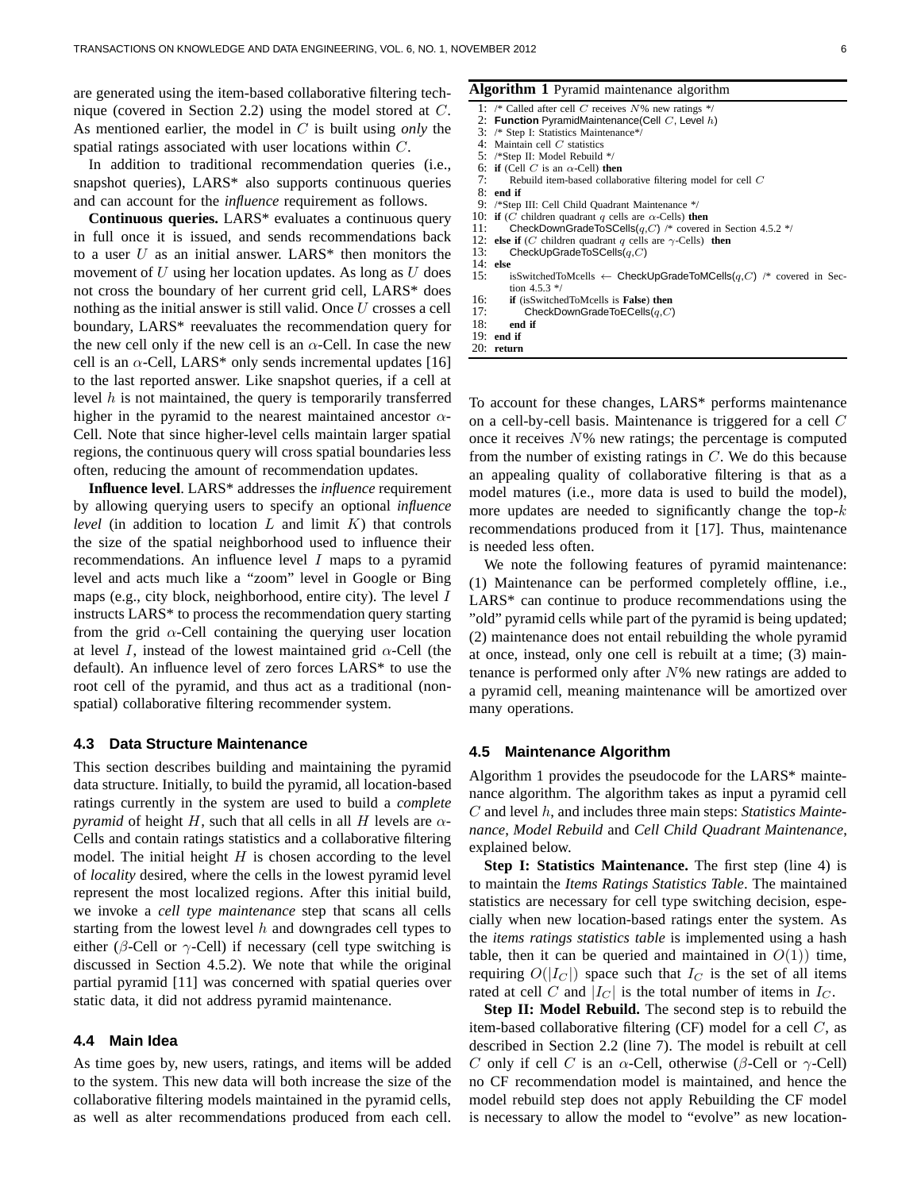are generated using the item-based collaborative filtering technique (covered in Section 2.2) using the model stored at C. As mentioned earlier, the model in C is built using *only* the spatial ratings associated with user locations within C.

In addition to traditional recommendation queries (i.e., snapshot queries), LARS\* also supports continuous queries and can account for the *influence* requirement as follows.

**Continuous queries.** LARS\* evaluates a continuous query in full once it is issued, and sends recommendations back to a user  $U$  as an initial answer. LARS\* then monitors the movement of  $U$  using her location updates. As long as  $U$  does not cross the boundary of her current grid cell, LARS\* does nothing as the initial answer is still valid. Once U crosses a cell boundary, LARS\* reevaluates the recommendation query for the new cell only if the new cell is an  $\alpha$ -Cell. In case the new cell is an  $\alpha$ -Cell, LARS\* only sends incremental updates [16] to the last reported answer. Like snapshot queries, if a cell at level  $h$  is not maintained, the query is temporarily transferred higher in the pyramid to the nearest maintained ancestor  $\alpha$ -Cell. Note that since higher-level cells maintain larger spatial regions, the continuous query will cross spatial boundaries less often, reducing the amount of recommendation updates.

**Influence level**. LARS\* addresses the *influence* requirement by allowing querying users to specify an optional *influence level* (in addition to location  $L$  and limit  $K$ ) that controls the size of the spatial neighborhood used to influence their recommendations. An influence level  $I$  maps to a pyramid level and acts much like a "zoom" level in Google or Bing maps (e.g., city block, neighborhood, entire city). The level I instructs LARS\* to process the recommendation query starting from the grid  $\alpha$ -Cell containing the querying user location at level I, instead of the lowest maintained grid  $\alpha$ -Cell (the default). An influence level of zero forces LARS\* to use the root cell of the pyramid, and thus act as a traditional (nonspatial) collaborative filtering recommender system.

#### **4.3 Data Structure Maintenance**

This section describes building and maintaining the pyramid data structure. Initially, to build the pyramid, all location-based ratings currently in the system are used to build a *complete pyramid* of height H, such that all cells in all H levels are  $\alpha$ -Cells and contain ratings statistics and a collaborative filtering model. The initial height  $H$  is chosen according to the level of *locality* desired, where the cells in the lowest pyramid level represent the most localized regions. After this initial build, we invoke a *cell type maintenance* step that scans all cells starting from the lowest level  $h$  and downgrades cell types to either ( $\beta$ -Cell or  $\gamma$ -Cell) if necessary (cell type switching is discussed in Section 4.5.2). We note that while the original partial pyramid [11] was concerned with spatial queries over static data, it did not address pyramid maintenance.

## **4.4 Main Idea**

As time goes by, new users, ratings, and items will be added to the system. This new data will both increase the size of the collaborative filtering models maintained in the pyramid cells, as well as alter recommendations produced from each cell.

#### **Algorithm 1** Pyramid maintenance algorithm

|     | 1: /* Called after cell C receives $N\%$ new ratings */                                 |
|-----|-----------------------------------------------------------------------------------------|
|     | 2: Function PyramidMaintenance (Cell $C$ , Level $h$ )                                  |
|     | 3: /* Step I: Statistics Maintenance*/                                                  |
|     | 4: Maintain cell $C$ statistics                                                         |
|     | 5: /*Step II: Model Rebuild */                                                          |
|     | 6: if (Cell C is an $\alpha$ -Cell) then                                                |
|     | 7:<br>Rebuild item-based collaborative filtering model for cell C                       |
|     | $8:$ end if                                                                             |
|     | 9: /*Step III: Cell Child Quadrant Maintenance */                                       |
|     | 10: if (C children quadrant q cells are $\alpha$ -Cells) then                           |
| 11: | CheckDownGradeToSCells $(q, C)$ /* covered in Section 4.5.2 */                          |
|     | 12: else if (C children quadrant q cells are $\gamma$ -Cells) then                      |
| 13: | CheckUpGradeToSCells(q, C)                                                              |
|     | $14:$ else                                                                              |
| 15: | is Switched To Mcells $\leftarrow$ Check Up Grade To MCells $(q, C)$ /* covered in Sec- |
|     | tion 4.5.3 $*$ /                                                                        |
| 16: | if (isSwitchedToMcells is False) then                                                   |
| 17: | CheckDownGradeToECells $(q, C)$                                                         |
| 18: | end if                                                                                  |
| 19: | end if                                                                                  |
|     | $20:$ return                                                                            |

To account for these changes, LARS\* performs maintenance on a cell-by-cell basis. Maintenance is triggered for a cell C once it receives  $N\%$  new ratings; the percentage is computed from the number of existing ratings in  $C$ . We do this because an appealing quality of collaborative filtering is that as a model matures (i.e., more data is used to build the model), more updates are needed to significantly change the top- $k$ recommendations produced from it [17]. Thus, maintenance is needed less often.

We note the following features of pyramid maintenance: (1) Maintenance can be performed completely offline, i.e., LARS\* can continue to produce recommendations using the "old" pyramid cells while part of the pyramid is being updated; (2) maintenance does not entail rebuilding the whole pyramid at once, instead, only one cell is rebuilt at a time; (3) maintenance is performed only after  $N\%$  new ratings are added to a pyramid cell, meaning maintenance will be amortized over many operations.

#### **4.5 Maintenance Algorithm**

Algorithm 1 provides the pseudocode for the LARS\* maintenance algorithm. The algorithm takes as input a pyramid cell C and level h, and includes three main steps: *Statistics Maintenance*, *Model Rebuild* and *Cell Child Quadrant Maintenance*, explained below.

**Step I: Statistics Maintenance.** The first step (line 4) is to maintain the *Items Ratings Statistics Table*. The maintained statistics are necessary for cell type switching decision, especially when new location-based ratings enter the system. As the *items ratings statistics table* is implemented using a hash table, then it can be queried and maintained in  $O(1)$  time, requiring  $O(|I_C|)$  space such that  $I_C$  is the set of all items rated at cell C and  $|I_C|$  is the total number of items in  $I_C$ .

**Step II: Model Rebuild.** The second step is to rebuild the item-based collaborative filtering  $(CF)$  model for a cell  $C$ , as described in Section 2.2 (line 7). The model is rebuilt at cell C only if cell C is an  $\alpha$ -Cell, otherwise ( $\beta$ -Cell or  $\gamma$ -Cell) no CF recommendation model is maintained, and hence the model rebuild step does not apply Rebuilding the CF model is necessary to allow the model to "evolve" as new location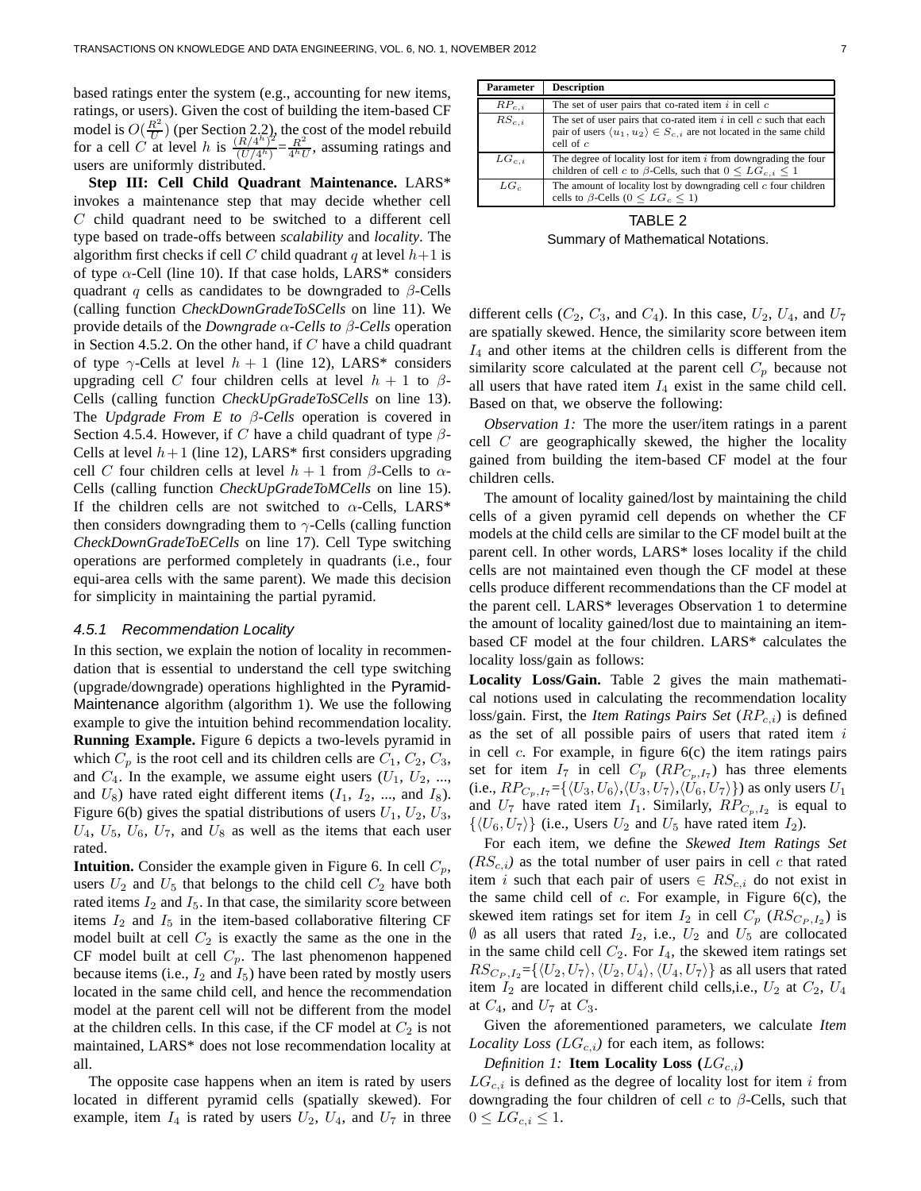based ratings enter the system (e.g., accounting for new items, ratings, or users). Given the cost of building the item-based CF model is  $O(\frac{R^2}{U})$  $\frac{R^2}{U}$ ) (per Section 2.2), the cost of the model rebuild for a cell C at level h is  $\frac{(R/4^h)^2}{(H/4^h)}$  $\frac{(R/4^h)^2}{(U/4^h)} = \frac{R^2}{4^h l}$  $\frac{R^2}{4^hU}$ , assuming ratings and users are uniformly distributed.

**Step III: Cell Child Quadrant Maintenance.** LARS\* invokes a maintenance step that may decide whether cell C child quadrant need to be switched to a different cell type based on trade-offs between *scalability* and *locality*. The algorithm first checks if cell C child quadrant q at level  $h+1$  is of type  $\alpha$ -Cell (line 10). If that case holds, LARS\* considers quadrant q cells as candidates to be downgraded to  $\beta$ -Cells (calling function *CheckDownGradeToSCells* on line 11). We provide details of the *Downgrade* α*-Cells to* β*-Cells* operation in Section 4.5.2. On the other hand, if  $C$  have a child quadrant of type  $\gamma$ -Cells at level  $h + 1$  (line 12), LARS\* considers upgrading cell C four children cells at level  $h + 1$  to  $\beta$ -Cells (calling function *CheckUpGradeToSCells* on line 13). The *Updgrade From E to* β*-Cells* operation is covered in Section 4.5.4. However, if C have a child quadrant of type  $\beta$ -Cells at level  $h+1$  (line 12), LARS\* first considers upgrading cell C four children cells at level  $h + 1$  from  $\beta$ -Cells to  $\alpha$ -Cells (calling function *CheckUpGradeToMCells* on line 15). If the children cells are not switched to  $\alpha$ -Cells, LARS\* then considers downgrading them to  $\gamma$ -Cells (calling function *CheckDownGradeToECells* on line 17). Cell Type switching operations are performed completely in quadrants (i.e., four equi-area cells with the same parent). We made this decision for simplicity in maintaining the partial pyramid.

#### 4.5.1 Recommendation Locality

In this section, we explain the notion of locality in recommendation that is essential to understand the cell type switching (upgrade/downgrade) operations highlighted in the Pyramid-Maintenance algorithm (algorithm 1). We use the following example to give the intuition behind recommendation locality. **Running Example.** Figure 6 depicts a two-levels pyramid in which  $C_p$  is the root cell and its children cells are  $C_1$ ,  $C_2$ ,  $C_3$ , and  $C_4$ . In the example, we assume eight users  $(U_1, U_2, ...,$ and  $U_8$ ) have rated eight different items  $(I_1, I_2, ...,$  and  $I_8)$ . Figure 6(b) gives the spatial distributions of users  $U_1$ ,  $U_2$ ,  $U_3$ ,  $U_4$ ,  $U_5$ ,  $U_6$ ,  $U_7$ , and  $U_8$  as well as the items that each user rated.

**Intuition.** Consider the example given in Figure 6. In cell  $C_p$ , users  $U_2$  and  $U_5$  that belongs to the child cell  $C_2$  have both rated items  $I_2$  and  $I_5$ . In that case, the similarity score between items  $I_2$  and  $I_5$  in the item-based collaborative filtering CF model built at cell  $C_2$  is exactly the same as the one in the CF model built at cell  $C_p$ . The last phenomenon happened because items (i.e.,  $I_2$  and  $I_5$ ) have been rated by mostly users located in the same child cell, and hence the recommendation model at the parent cell will not be different from the model at the children cells. In this case, if the CF model at  $C_2$  is not maintained, LARS\* does not lose recommendation locality at all.

The opposite case happens when an item is rated by users located in different pyramid cells (spatially skewed). For example, item  $I_4$  is rated by users  $U_2$ ,  $U_4$ , and  $U_7$  in three

| Parameter  | <b>Description</b>                                                                                                                                                               |  |  |  |
|------------|----------------------------------------------------------------------------------------------------------------------------------------------------------------------------------|--|--|--|
| $RP_{c,i}$ | The set of user pairs that co-rated item $i$ in cell $c$                                                                                                                         |  |  |  |
| $RS_{c,i}$ | The set of user pairs that co-rated item $i$ in cell $c$ such that each<br>pair of users $\langle u_1, u_2 \rangle \in S_{c,i}$ are not located in the same child<br>cell of $c$ |  |  |  |
| $LG_{c,i}$ | The degree of locality lost for item $i$ from downgrading the four<br>children of cell c to $\beta$ -Cells, such that $0 \le LG_{c,i} \le 1$                                     |  |  |  |
| $LG_c$     | The amount of locality lost by downgrading cell $c$ four children<br>cells to $\beta$ -Cells ( $0 \le LG_c \le 1$ )                                                              |  |  |  |
|            |                                                                                                                                                                                  |  |  |  |

Summary of Mathematical Notations.

different cells  $(C_2, C_3, \text{ and } C_4)$ . In this case,  $U_2, U_4$ , and  $U_7$ are spatially skewed. Hence, the similarity score between item  $I_4$  and other items at the children cells is different from the similarity score calculated at the parent cell  $C_p$  because not all users that have rated item  $I_4$  exist in the same child cell. Based on that, we observe the following:

*Observation 1:* The more the user/item ratings in a parent cell  $C$  are geographically skewed, the higher the locality gained from building the item-based CF model at the four children cells.

The amount of locality gained/lost by maintaining the child cells of a given pyramid cell depends on whether the CF models at the child cells are similar to the CF model built at the parent cell. In other words, LARS\* loses locality if the child cells are not maintained even though the CF model at these cells produce different recommendations than the CF model at the parent cell. LARS\* leverages Observation 1 to determine the amount of locality gained/lost due to maintaining an itembased CF model at the four children. LARS\* calculates the locality loss/gain as follows:

**Locality Loss/Gain.** Table 2 gives the main mathematical notions used in calculating the recommendation locality loss/gain. First, the *Item Ratings Pairs Set*  $(RP_{c,i})$  is defined as the set of all possible pairs of users that rated item  $i$ in cell  $c$ . For example, in figure  $6(c)$  the item ratings pairs set for item  $I_7$  in cell  $C_p$  ( $RP_{C_p, I_7}$ ) has three elements (i.e.,  $RP_{C_p,I_7} = {\langle U_3, U_6 \rangle, \langle U_3, U_7 \rangle, \langle U_6, U_7 \rangle}$ ) as only users  $U_1$ and  $U_7$  have rated item  $I_1$ . Similarly,  $RP_{C_p, I_2}$  is equal to  $\{\langle U_6, U_7 \rangle\}$  (i.e., Users  $U_2$  and  $U_5$  have rated item  $I_2$ ).

For each item, we define the *Skewed Item Ratings Set*  $(RS_{c,i})$  as the total number of user pairs in cell c that rated item i such that each pair of users  $\in RS_{c,i}$  do not exist in the same child cell of  $c$ . For example, in Figure  $6(c)$ , the skewed item ratings set for item  $I_2$  in cell  $C_p$  ( $RS_{C_P, I_2}$ ) is  $\emptyset$  as all users that rated  $I_2$ , i.e.,  $U_2$  and  $U_5$  are collocated in the same child cell  $C_2$ . For  $I_4$ , the skewed item ratings set  $RS_{C_P, I_2} = {\langle U_2, U_7 \rangle, \langle U_2, U_4 \rangle, \langle U_4, U_7 \rangle}$  as all users that rated item  $I_2$  are located in different child cells, i.e.,  $U_2$  at  $C_2$ ,  $U_4$ at  $C_4$ , and  $U_7$  at  $C_3$ .

Given the aforementioned parameters, we calculate *Item Locality Loss (* $LG_{c,i}$ *)* for each item, as follows:

# *Definition 1:* **Item Locality Loss**  $(LG_{c,i})$

 $LG_{c,i}$  is defined as the degree of locality lost for item i from downgrading the four children of cell  $c$  to  $\beta$ -Cells, such that  $0 \le LG_{c,i} \le 1$ .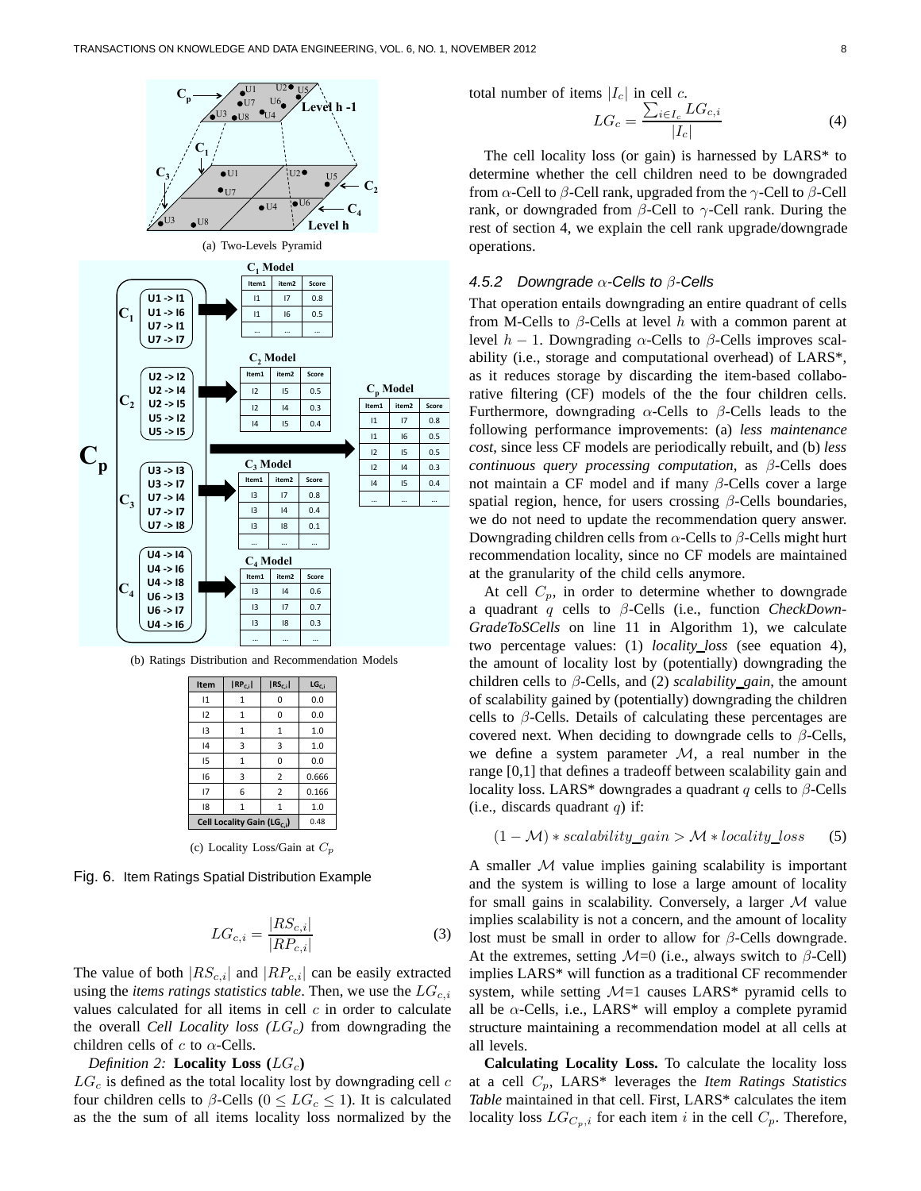

(b) Ratings Distribution and Recommendation Models

| Item                                   | $ RP_{c,i} $ | $ RS_{c,i} $   | $LG_{C,i}$ |
|----------------------------------------|--------------|----------------|------------|
| $\mathsf{I}1$                          | $\mathbf{1}$ | 0              | 0.0        |
| 12                                     | $\mathbf{1}$ | 0              | 0.0        |
| 13                                     | $\mathbf{1}$ | $\mathbf{1}$   | 1.0        |
| 4                                      | 3            | 3              | 1.0        |
| 15                                     | $\mathbf{1}$ | 0              | 0.0        |
| 16                                     | 3            | $\overline{2}$ | 0.666      |
| 17                                     | 6            | $\overline{2}$ | 0.166      |
| 18                                     | $\mathbf{1}$ | $\mathbf{1}$   | 1.0        |
| Cell Locality Gain (LG <sub>Ci</sub> ) | 0.48         |                |            |

(c) Locality Loss/Gain at  $C_p$ 

Fig. 6. Item Ratings Spatial Distribution Example

$$
LG_{c,i} = \frac{|RS_{c,i}|}{|RP_{c,i}|}
$$
 (3)

The value of both  $|RS_{c,i}|$  and  $|RP_{c,i}|$  can be easily extracted using the *items ratings statistics table*. Then, we use the  $LG_{c,i}$ values calculated for all items in cell  $c$  in order to calculate the overall *Cell Locality loss*  $(LG_c)$  from downgrading the children cells of  $c$  to  $\alpha$ -Cells.

#### *Definition 2:* **Locality Loss**  $(LG_c)$

 $LG_c$  is defined as the total locality lost by downgrading cell  $c$ four children cells to β-Cells ( $0 \le LG_c \le 1$ ). It is calculated as the the sum of all items locality loss normalized by the

total number of items  $|I_c|$  in cell c.

$$
LG_c = \frac{\sum_{i \in I_c} LG_{c,i}}{|I_c|} \tag{4}
$$

The cell locality loss (or gain) is harnessed by LARS\* to determine whether the cell children need to be downgraded from  $\alpha$ -Cell to  $\beta$ -Cell rank, upgraded from the  $\gamma$ -Cell to  $\beta$ -Cell rank, or downgraded from  $\beta$ -Cell to  $\gamma$ -Cell rank. During the rest of section 4, we explain the cell rank upgrade/downgrade operations.

#### 4.5.2 Downgrade  $\alpha$ -Cells to  $\beta$ -Cells

That operation entails downgrading an entire quadrant of cells from M-Cells to  $\beta$ -Cells at level h with a common parent at level  $h - 1$ . Downgrading  $\alpha$ -Cells to  $\beta$ -Cells improves scalability (i.e., storage and computational overhead) of LARS\*, as it reduces storage by discarding the item-based collaborative filtering (CF) models of the the four children cells. Furthermore, downgrading  $\alpha$ -Cells to  $\beta$ -Cells leads to the following performance improvements: (a) *less maintenance cost*, since less CF models are periodically rebuilt, and (b) *less continuous query processing computation*, as β-Cells does not maintain a CF model and if many β-Cells cover a large spatial region, hence, for users crossing  $\beta$ -Cells boundaries, we do not need to update the recommendation query answer. Downgrading children cells from  $\alpha$ -Cells to  $\beta$ -Cells might hurt recommendation locality, since no CF models are maintained at the granularity of the child cells anymore.

At cell  $C_p$ , in order to determine whether to downgrade a quadrant q cells to β-Cells (i.e., function *CheckDown-GradeToSCells* on line 11 in Algorithm 1), we calculate two percentage values: (1) *locality loss* (see equation 4), the amount of locality lost by (potentially) downgrading the children cells to β-Cells, and (2) *scalability gain*, the amount of scalability gained by (potentially) downgrading the children cells to  $\beta$ -Cells. Details of calculating these percentages are covered next. When deciding to downgrade cells to  $\beta$ -Cells, we define a system parameter  $M$ , a real number in the range [0,1] that defines a tradeoff between scalability gain and locality loss. LARS\* downgrades a quadrant q cells to  $\beta$ -Cells (i.e., discards quadrant  $q$ ) if:

$$
(1 - M) * scalability\_gain > M * locality\_loss
$$
 (5)

A smaller  $M$  value implies gaining scalability is important and the system is willing to lose a large amount of locality for small gains in scalability. Conversely, a larger  $M$  value implies scalability is not a concern, and the amount of locality lost must be small in order to allow for  $β$ -Cells downgrade. At the extremes, setting  $\mathcal{M}=0$  (i.e., always switch to  $\beta$ -Cell) implies LARS\* will function as a traditional CF recommender system, while setting  $\mathcal{M}=1$  causes LARS\* pyramid cells to all be  $\alpha$ -Cells, i.e., LARS\* will employ a complete pyramid structure maintaining a recommendation model at all cells at all levels.

**Calculating Locality Loss.** To calculate the locality loss at a cell Cp, LARS\* leverages the *Item Ratings Statistics Table* maintained in that cell. First, LARS\* calculates the item locality loss  $LG_{C_p,i}$  for each item i in the cell  $C_p$ . Therefore,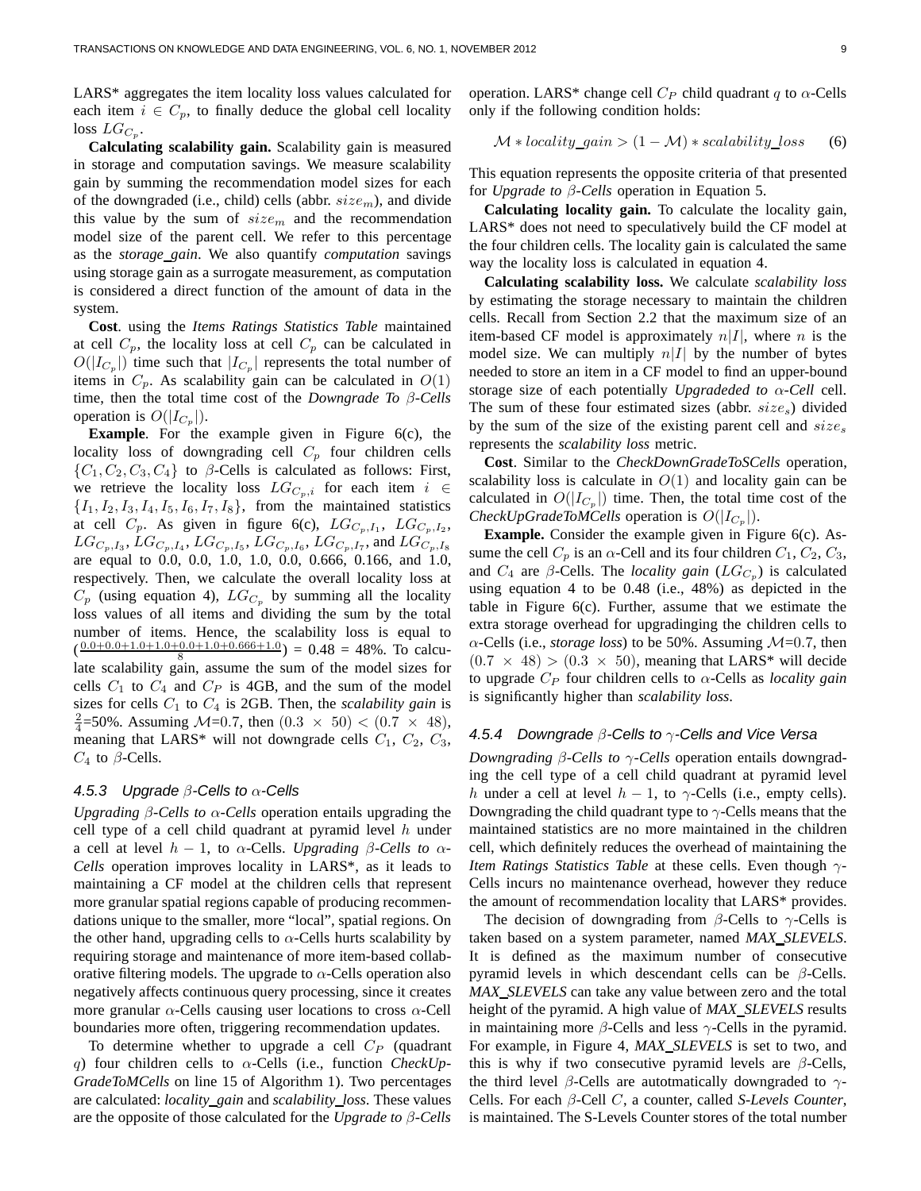LARS\* aggregates the item locality loss values calculated for each item  $i \in C_p$ , to finally deduce the global cell locality loss  $LG_{C_p}$ .

**Calculating scalability gain.** Scalability gain is measured in storage and computation savings. We measure scalability gain by summing the recommendation model sizes for each of the downgraded (i.e., child) cells (abbr.  $size_m$ ), and divide this value by the sum of  $size_m$  and the recommendation model size of the parent cell. We refer to this percentage as the *storage gain*. We also quantify *computation* savings using storage gain as a surrogate measurement, as computation is considered a direct function of the amount of data in the system.

**Cost**. using the *Items Ratings Statistics Table* maintained at cell  $C_p$ , the locality loss at cell  $C_p$  can be calculated in  $O(|I_{C_p}|)$  time such that  $|I_{C_p}|$  represents the total number of items in  $C_p$ . As scalability gain can be calculated in  $O(1)$ time, then the total time cost of the *Downgrade To* β*-Cells* operation is  $O(|I_{C_p}|)$ .

**Example**. For the example given in Figure 6(c), the locality loss of downgrading cell  $C_p$  four children cells  $\{C_1, C_2, C_3, C_4\}$  to  $\beta$ -Cells is calculated as follows: First, we retrieve the locality loss  $LG_{C_n,i}$  for each item  $i \in$  $\{I_1, I_2, I_3, I_4, I_5, I_6, I_7, I_8\}$ , from the maintained statistics at cell  $C_p$ . As given in figure 6(c),  $LG_{C_p,I_1}$ ,  $LG_{C_p,I_2}$ ,  $LG_{C_p,I_3}, \, LG_{C_p,I_4}, \, LG_{C_p,I_5}, \, LG_{C_p,I_6}, \, LG_{C_p,I_7},$  and  $LG_{C_p,I_8}$ are equal to 0.0, 0.0, 1.0, 1.0, 0.0, 0.666, 0.166, and 1.0, respectively. Then, we calculate the overall locality loss at  $C_p$  (using equation 4),  $LG_{C_p}$  by summing all the locality loss values of all items and dividing the sum by the total number of items. Hence, the scalability loss is equal to  $(\frac{0.0+0.0+1.0+1.0+0.0+1.0+0.666+1.0}{8}) = 0.48 = 48\%$ . To calculate scalability gain, assume the sum of the model sizes for cells  $C_1$  to  $C_4$  and  $C_P$  is 4GB, and the sum of the model sizes for cells  $C_1$  to  $C_4$  is 2GB. Then, the *scalability gain* is  $\frac{2}{4}$ =50%. Assuming *M*=0.7, then  $(0.3 \times 50) < (0.7 \times 48)$ , meaning that LARS\* will not downgrade cells  $C_1$ ,  $C_2$ ,  $C_3$ ,  $C_4$  to  $\beta$ -Cells.

#### 4.5.3 Upgrade  $\beta$ -Cells to  $\alpha$ -Cells

*Upgrading*  $\beta$ -Cells to  $\alpha$ -Cells operation entails upgrading the cell type of a cell child quadrant at pyramid level  $h$  under a cell at level  $h - 1$ , to  $\alpha$ -Cells. *Upgrading*  $\beta$ -Cells to  $\alpha$ -*Cells* operation improves locality in LARS\*, as it leads to maintaining a CF model at the children cells that represent more granular spatial regions capable of producing recommendations unique to the smaller, more "local", spatial regions. On the other hand, upgrading cells to  $\alpha$ -Cells hurts scalability by requiring storage and maintenance of more item-based collaborative filtering models. The upgrade to  $\alpha$ -Cells operation also negatively affects continuous query processing, since it creates more granular  $\alpha$ -Cells causing user locations to cross  $\alpha$ -Cell boundaries more often, triggering recommendation updates.

To determine whether to upgrade a cell  $C_P$  (quadrant q) four children cells to α-Cells (i.e., function *CheckUp-GradeToMCells* on line 15 of Algorithm 1). Two percentages are calculated: *locality gain* and *scalability loss*. These values are the opposite of those calculated for the *Upgrade to* β*-Cells* operation. LARS\* change cell  $C_P$  child quadrant q to  $\alpha$ -Cells only if the following condition holds:

$$
\mathcal{M} * locality\_gain > (1 - \mathcal{M}) * scalability\_loss \qquad (6)
$$

This equation represents the opposite criteria of that presented for *Upgrade to* β*-Cells* operation in Equation 5.

**Calculating locality gain.** To calculate the locality gain, LARS\* does not need to speculatively build the CF model at the four children cells. The locality gain is calculated the same way the locality loss is calculated in equation 4.

**Calculating scalability loss.** We calculate *scalability loss* by estimating the storage necessary to maintain the children cells. Recall from Section 2.2 that the maximum size of an item-based CF model is approximately  $n|I|$ , where n is the model size. We can multiply  $n|I|$  by the number of bytes needed to store an item in a CF model to find an upper-bound storage size of each potentially *Upgradeded to* α*-Cell* cell. The sum of these four estimated sizes (abbr.  $size_s$ ) divided by the sum of the size of the existing parent cell and  $size_s$ represents the *scalability loss* metric.

**Cost**. Similar to the *CheckDownGradeToSCells* operation, scalability loss is calculate in  $O(1)$  and locality gain can be calculated in  $O(|I_{C_p}|)$  time. Then, the total time cost of the *CheckUpGradeToMCells* operation is  $O(|I_{C_p}|)$ .

**Example.** Consider the example given in Figure 6(c). Assume the cell  $C_p$  is an  $\alpha$ -Cell and its four children  $C_1$ ,  $C_2$ ,  $C_3$ , and  $C_4$  are  $\beta$ -Cells. The *locality gain* ( $LG_{C_p}$ ) is calculated using equation 4 to be 0.48 (i.e., 48%) as depicted in the table in Figure 6(c). Further, assume that we estimate the extra storage overhead for upgradinging the children cells to  $\alpha$ -Cells (i.e., *storage loss*) to be 50%. Assuming  $\mathcal{M}$ =0.7, then  $(0.7 \times 48) > (0.3 \times 50)$ , meaning that LARS\* will decide to upgrade  $C_P$  four children cells to  $\alpha$ -Cells as *locality gain* is significantly higher than *scalability loss*.

#### 4.5.4 Downgrade  $\beta$ -Cells to  $\gamma$ -Cells and Vice Versa

*Downgrading* β*-Cells to* γ*-Cells* operation entails downgrading the cell type of a cell child quadrant at pyramid level h under a cell at level  $h - 1$ , to  $\gamma$ -Cells (i.e., empty cells). Downgrading the child quadrant type to  $\gamma$ -Cells means that the maintained statistics are no more maintained in the children cell, which definitely reduces the overhead of maintaining the *Item Ratings Statistics Table* at these cells. Even though γ-Cells incurs no maintenance overhead, however they reduce the amount of recommendation locality that LARS\* provides.

The decision of downgrading from  $\beta$ -Cells to  $\gamma$ -Cells is taken based on a system parameter, named *MAX SLEVELS*. It is defined as the maximum number of consecutive pyramid levels in which descendant cells can be  $\beta$ -Cells. *MAX SLEVELS* can take any value between zero and the total height of the pyramid. A high value of *MAX SLEVELS* results in maintaining more  $\beta$ -Cells and less  $\gamma$ -Cells in the pyramid. For example, in Figure 4, *MAX SLEVELS* is set to two, and this is why if two consecutive pyramid levels are  $\beta$ -Cells, the third level  $\beta$ -Cells are autotmatically downgraded to  $\gamma$ -Cells. For each β-Cell C, a counter, called *S-Levels Counter*, is maintained. The S-Levels Counter stores of the total number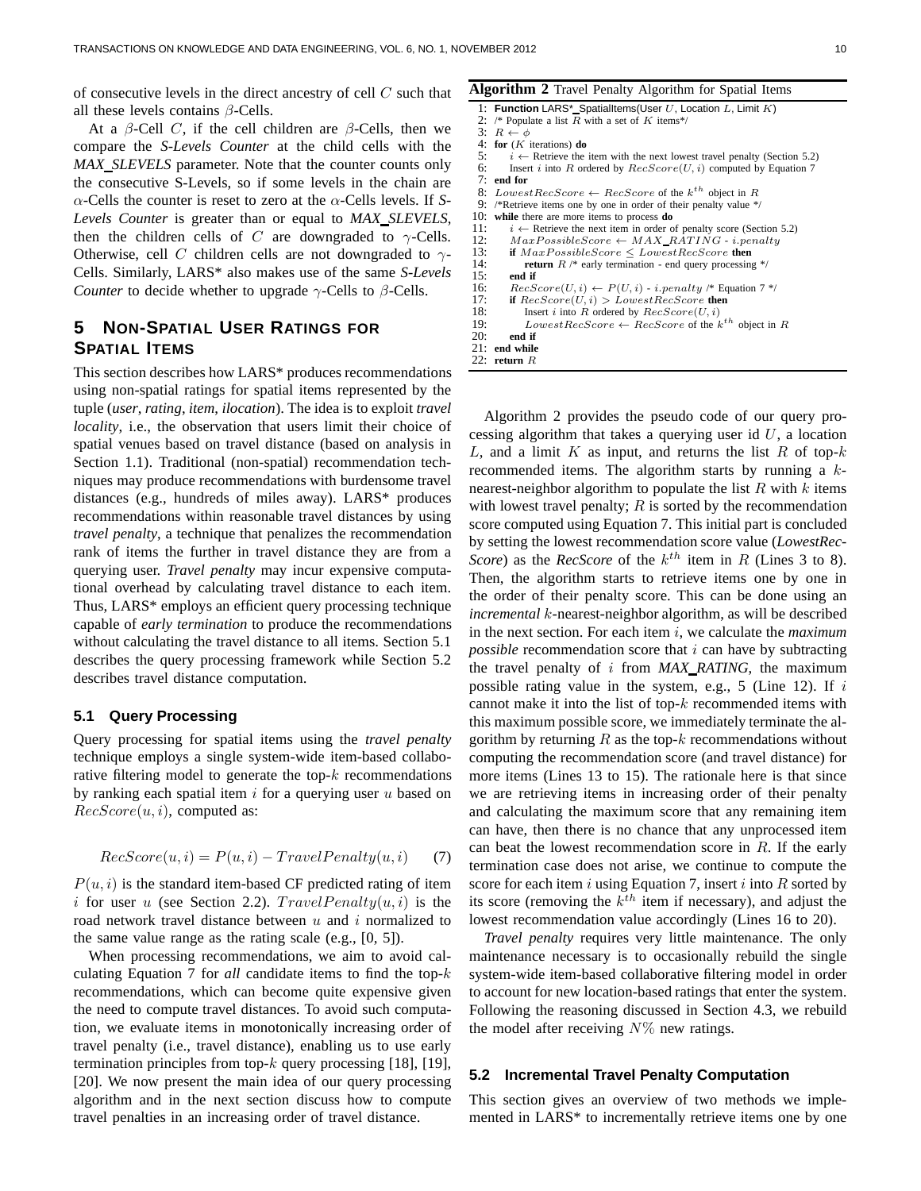of consecutive levels in the direct ancestry of cell C such that all these levels contains  $\beta$ -Cells.

At a  $\beta$ -Cell C, if the cell children are  $\beta$ -Cells, then we compare the *S-Levels Counter* at the child cells with the *MAX SLEVELS* parameter. Note that the counter counts only the consecutive S-Levels, so if some levels in the chain are α-Cells the counter is reset to zero at the α-Cells levels. If *S-Levels Counter* is greater than or equal to *MAX SLEVELS*, then the children cells of C are downgraded to  $\gamma$ -Cells. Otherwise, cell C children cells are not downgraded to  $\gamma$ -Cells. Similarly, LARS\* also makes use of the same *S-Levels Counter* to decide whether to upgrade  $\gamma$ -Cells to  $\beta$ -Cells.

# **5 NON-SPATIAL USER RATINGS FOR SPATIAL ITEMS**

This section describes how LARS\* produces recommendations using non-spatial ratings for spatial items represented by the tuple (*user*, *rating*, *item*, *ilocation*). The idea is to exploit *travel locality*, i.e., the observation that users limit their choice of spatial venues based on travel distance (based on analysis in Section 1.1). Traditional (non-spatial) recommendation techniques may produce recommendations with burdensome travel distances (e.g., hundreds of miles away). LARS\* produces recommendations within reasonable travel distances by using *travel penalty*, a technique that penalizes the recommendation rank of items the further in travel distance they are from a querying user. *Travel penalty* may incur expensive computational overhead by calculating travel distance to each item. Thus, LARS\* employs an efficient query processing technique capable of *early termination* to produce the recommendations without calculating the travel distance to all items. Section 5.1 describes the query processing framework while Section 5.2 describes travel distance computation.

#### **5.1 Query Processing**

Query processing for spatial items using the *travel penalty* technique employs a single system-wide item-based collaborative filtering model to generate the top- $k$  recommendations by ranking each spatial item  $i$  for a querying user  $u$  based on  $RecScore(u, i)$ , computed as:

$$
RecScore(u, i) = P(u, i) - TravelPenalty(u, i) \tag{7}
$$

 $P(u, i)$  is the standard item-based CF predicted rating of item i for user u (see Section 2.2).  $TravelPenalty(u, i)$  is the road network travel distance between  $u$  and  $i$  normalized to the same value range as the rating scale (e.g., [0, 5]).

When processing recommendations, we aim to avoid calculating Equation 7 for *all* candidate items to find the top-k recommendations, which can become quite expensive given the need to compute travel distances. To avoid such computation, we evaluate items in monotonically increasing order of travel penalty (i.e., travel distance), enabling us to use early termination principles from top- $k$  query processing [18], [19], [20]. We now present the main idea of our query processing algorithm and in the next section discuss how to compute travel penalties in an increasing order of travel distance.

#### **Algorithm 2** Travel Penalty Algorithm for Spatial Items

```
1: Function LARS<sup>*</sup> SpatialItems(User U, Location L, Limit K) 2: /* Populate a list R with a set of K items*/
  2: /* Populate a list \overline{R} with a set of K items*/<br>3: B \leftarrow \phi3: R \leftarrow \phi<br>4: for (K)4: for (K iterations) do<br>5: i \leftarrow Retrieve the
            i \leftarrow Retrieve the item with the next lowest travel penalty (Section 5.2)
  6: Insert i into R ordered by RecScore(U, i) computed by Equation 7<br>7. end for
       end for
  8: LowestRecScore \leftarrow RecScore of the k^{th} object in R
  9: /*Retrieve items one by one in order of their penalty value */
10: while there are more items to process do<br>11: i \leftarrow Retrieve the next item in order of
11: i \leftarrow Retrieve the next item in order of penalty score (Section 5.2)<br>12: Max \text{ Possible Score} \leftarrow MAX \text{ RATING} \cdot i \text{ penalty}MaxPosibleScore \leftarrow MAX\_RATING - i.penalty13: if MaxPosibleScore \leq LowerRecScore then<br>14: return R /* early termination - end query processing
                 return R /* early termination - end query processing */
15: end if
16: RecScore(U, i) \leftarrow P(U, i) - i.penalty \n\mid * \text{Equation 7*}<br>17: if RecScore(U, i) > LovestRecScore then
17: if RecScore(U, i) > LovesRecScore then<br>18: Insert i into R ordered by RecScore(U, i)18: Insert i into R ordered by RecScore(U, i)<br>19: LowestRecScore \leftarrow RecScore of the l
19: Lowest RecScore \leftarrow RecScore of the k^{th} object in R
20: end if
21: end while
22: return R
```
Algorithm 2 provides the pseudo code of our query processing algorithm that takes a querying user id  $U$ , a location L, and a limit K as input, and returns the list R of top- $k$ recommended items. The algorithm starts by running a knearest-neighbor algorithm to populate the list  $R$  with  $k$  items with lowest travel penalty;  $R$  is sorted by the recommendation score computed using Equation 7. This initial part is concluded by setting the lowest recommendation score value (*LowestRec-Score*) as the *RecScore* of the  $k^{th}$  item in R (Lines 3 to 8). Then, the algorithm starts to retrieve items one by one in the order of their penalty score. This can be done using an *incremental* k-nearest-neighbor algorithm, as will be described in the next section. For each item i, we calculate the *maximum possible* recommendation score that *i* can have by subtracting the travel penalty of i from *MAX RATING*, the maximum possible rating value in the system, e.g., 5 (Line 12). If  $i$ cannot make it into the list of top- $k$  recommended items with this maximum possible score, we immediately terminate the algorithm by returning  $R$  as the top- $k$  recommendations without computing the recommendation score (and travel distance) for more items (Lines 13 to 15). The rationale here is that since we are retrieving items in increasing order of their penalty and calculating the maximum score that any remaining item can have, then there is no chance that any unprocessed item can beat the lowest recommendation score in  $R$ . If the early termination case does not arise, we continue to compute the score for each item  $i$  using Equation 7, insert  $i$  into  $R$  sorted by its score (removing the  $k^{th}$  item if necessary), and adjust the lowest recommendation value accordingly (Lines 16 to 20).

*Travel penalty* requires very little maintenance. The only maintenance necessary is to occasionally rebuild the single system-wide item-based collaborative filtering model in order to account for new location-based ratings that enter the system. Following the reasoning discussed in Section 4.3, we rebuild the model after receiving  $N\%$  new ratings.

#### **5.2 Incremental Travel Penalty Computation**

This section gives an overview of two methods we implemented in LARS\* to incrementally retrieve items one by one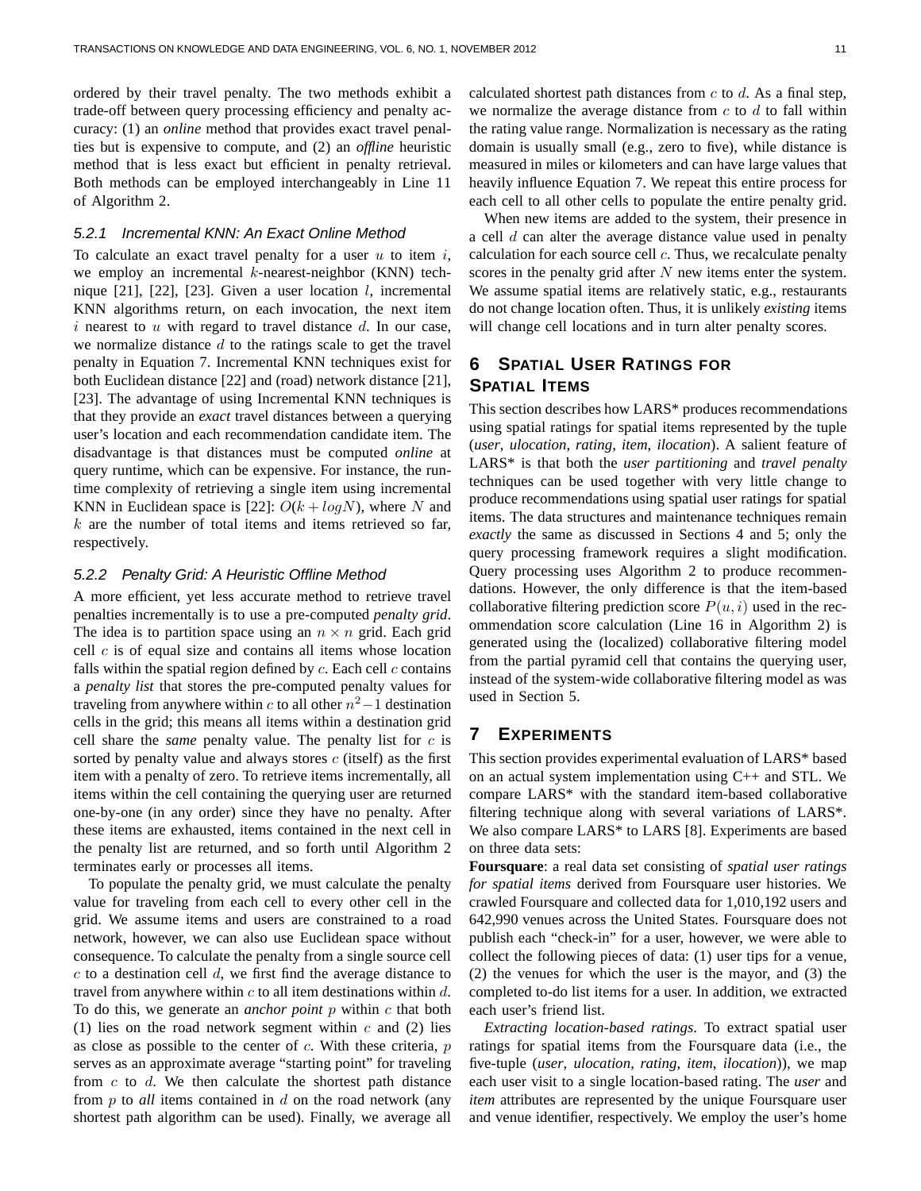ordered by their travel penalty. The two methods exhibit a trade-off between query processing efficiency and penalty accuracy: (1) an *online* method that provides exact travel penalties but is expensive to compute, and (2) an *offline* heuristic method that is less exact but efficient in penalty retrieval. Both methods can be employed interchangeably in Line 11 of Algorithm 2.

#### 5.2.1 Incremental KNN: An Exact Online Method

To calculate an exact travel penalty for a user  $u$  to item  $i$ , we employ an incremental  $k$ -nearest-neighbor (KNN) technique [21], [22], [23]. Given a user location  $l$ , incremental KNN algorithms return, on each invocation, the next item  $i$  nearest to  $u$  with regard to travel distance  $d$ . In our case, we normalize distance  $d$  to the ratings scale to get the travel penalty in Equation 7. Incremental KNN techniques exist for both Euclidean distance [22] and (road) network distance [21], [23]. The advantage of using Incremental KNN techniques is that they provide an *exact* travel distances between a querying user's location and each recommendation candidate item. The disadvantage is that distances must be computed *online* at query runtime, which can be expensive. For instance, the runtime complexity of retrieving a single item using incremental KNN in Euclidean space is [22]:  $O(k + log N)$ , where N and  $k$  are the number of total items and items retrieved so far, respectively.

#### 5.2.2 Penalty Grid: A Heuristic Offline Method

A more efficient, yet less accurate method to retrieve travel penalties incrementally is to use a pre-computed *penalty grid*. The idea is to partition space using an  $n \times n$  grid. Each grid cell c is of equal size and contains all items whose location falls within the spatial region defined by  $c$ . Each cell  $c$  contains a *penalty list* that stores the pre-computed penalty values for traveling from anywhere within  $c$  to all other  $n^2-1$  destination cells in the grid; this means all items within a destination grid cell share the *same* penalty value. The penalty list for c is sorted by penalty value and always stores  $c$  (itself) as the first item with a penalty of zero. To retrieve items incrementally, all items within the cell containing the querying user are returned one-by-one (in any order) since they have no penalty. After these items are exhausted, items contained in the next cell in the penalty list are returned, and so forth until Algorithm 2 terminates early or processes all items.

To populate the penalty grid, we must calculate the penalty value for traveling from each cell to every other cell in the grid. We assume items and users are constrained to a road network, however, we can also use Euclidean space without consequence. To calculate the penalty from a single source cell  $c$  to a destination cell  $d$ , we first find the average distance to travel from anywhere within  $c$  to all item destinations within  $d$ . To do this, we generate an *anchor point* p within c that both (1) lies on the road network segment within  $c$  and (2) lies as close as possible to the center of  $c$ . With these criteria,  $p$ serves as an approximate average "starting point" for traveling from  $c$  to  $d$ . We then calculate the shortest path distance from p to *all* items contained in d on the road network (any shortest path algorithm can be used). Finally, we average all

calculated shortest path distances from  $c$  to  $d$ . As a final step, we normalize the average distance from  $c$  to  $d$  to fall within the rating value range. Normalization is necessary as the rating domain is usually small (e.g., zero to five), while distance is measured in miles or kilometers and can have large values that heavily influence Equation 7. We repeat this entire process for each cell to all other cells to populate the entire penalty grid.

When new items are added to the system, their presence in a cell d can alter the average distance value used in penalty calculation for each source cell c. Thus, we recalculate penalty scores in the penalty grid after  $N$  new items enter the system. We assume spatial items are relatively static, e.g., restaurants do not change location often. Thus, it is unlikely *existing* items will change cell locations and in turn alter penalty scores.

# **6 SPATIAL USER RATINGS FOR SPATIAL ITEMS**

This section describes how LARS\* produces recommendations using spatial ratings for spatial items represented by the tuple (*user*, *ulocation*, *rating*, *item*, *ilocation*). A salient feature of LARS\* is that both the *user partitioning* and *travel penalty* techniques can be used together with very little change to produce recommendations using spatial user ratings for spatial items. The data structures and maintenance techniques remain *exactly* the same as discussed in Sections 4 and 5; only the query processing framework requires a slight modification. Query processing uses Algorithm 2 to produce recommendations. However, the only difference is that the item-based collaborative filtering prediction score  $P(u, i)$  used in the recommendation score calculation (Line 16 in Algorithm 2) is generated using the (localized) collaborative filtering model from the partial pyramid cell that contains the querying user, instead of the system-wide collaborative filtering model as was used in Section 5.

# **7 EXPERIMENTS**

This section provides experimental evaluation of LARS\* based on an actual system implementation using C++ and STL. We compare LARS\* with the standard item-based collaborative filtering technique along with several variations of LARS\*. We also compare LARS\* to LARS [8]. Experiments are based on three data sets:

**Foursquare**: a real data set consisting of *spatial user ratings for spatial items* derived from Foursquare user histories. We crawled Foursquare and collected data for 1,010,192 users and 642,990 venues across the United States. Foursquare does not publish each "check-in" for a user, however, we were able to collect the following pieces of data: (1) user tips for a venue, (2) the venues for which the user is the mayor, and (3) the completed to-do list items for a user. In addition, we extracted each user's friend list.

*Extracting location-based ratings*. To extract spatial user ratings for spatial items from the Foursquare data (i.e., the five-tuple (*user*, *ulocation*, *rating*, *item*, *ilocation*)), we map each user visit to a single location-based rating. The *user* and *item* attributes are represented by the unique Foursquare user and venue identifier, respectively. We employ the user's home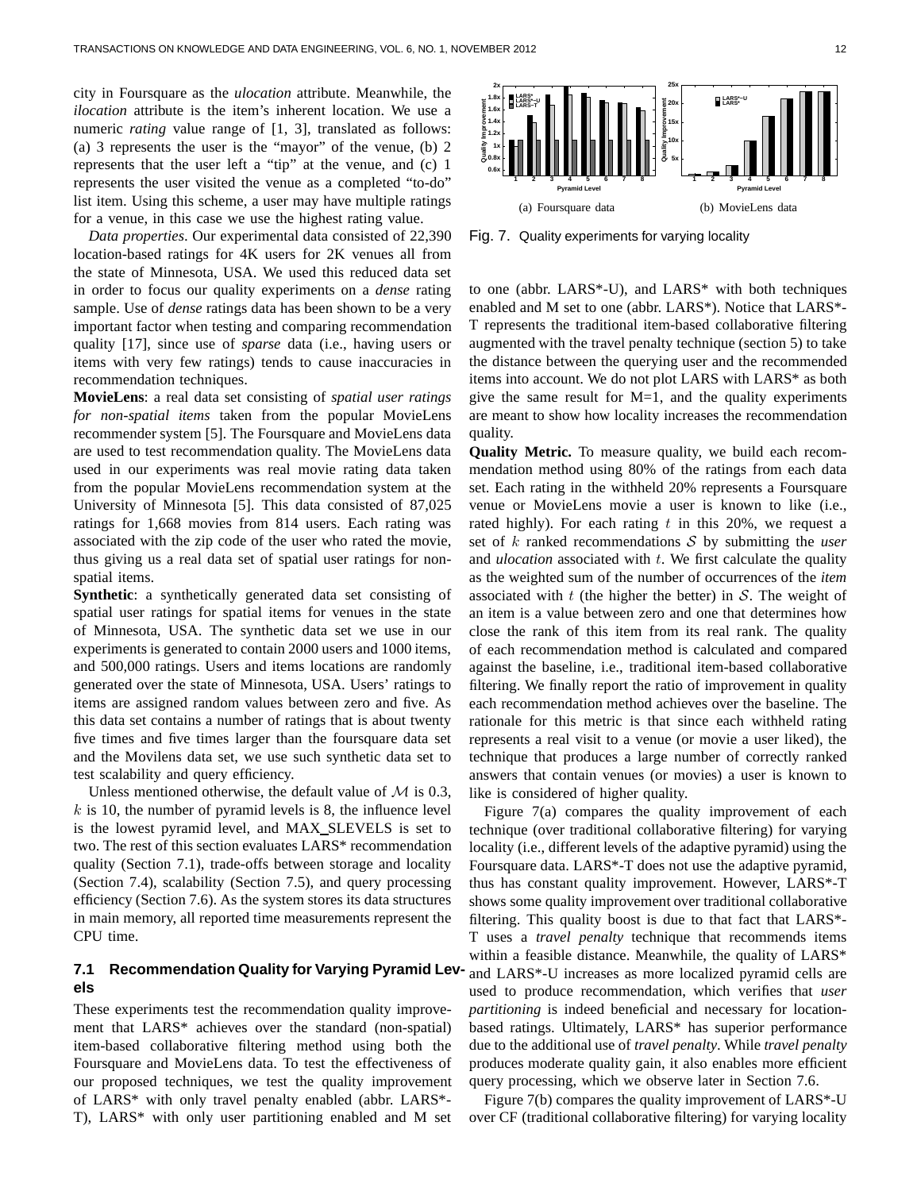city in Foursquare as the *ulocation* attribute. Meanwhile, the *ilocation* attribute is the item's inherent location. We use a numeric *rating* value range of [1, 3], translated as follows: (a) 3 represents the user is the "mayor" of the venue, (b) 2 represents that the user left a "tip" at the venue, and (c) 1 represents the user visited the venue as a completed "to-do" list item. Using this scheme, a user may have multiple ratings for a venue, in this case we use the highest rating value.

*Data properties*. Our experimental data consisted of 22,390 location-based ratings for 4K users for 2K venues all from the state of Minnesota, USA. We used this reduced data set in order to focus our quality experiments on a *dense* rating sample. Use of *dense* ratings data has been shown to be a very important factor when testing and comparing recommendation quality [17], since use of *sparse* data (i.e., having users or items with very few ratings) tends to cause inaccuracies in recommendation techniques.

**MovieLens**: a real data set consisting of *spatial user ratings for non-spatial items* taken from the popular MovieLens recommender system [5]. The Foursquare and MovieLens data are used to test recommendation quality. The MovieLens data used in our experiments was real movie rating data taken from the popular MovieLens recommendation system at the University of Minnesota [5]. This data consisted of 87,025 ratings for 1,668 movies from 814 users. Each rating was associated with the zip code of the user who rated the movie, thus giving us a real data set of spatial user ratings for nonspatial items.

**Synthetic**: a synthetically generated data set consisting of spatial user ratings for spatial items for venues in the state of Minnesota, USA. The synthetic data set we use in our experiments is generated to contain 2000 users and 1000 items, and 500,000 ratings. Users and items locations are randomly generated over the state of Minnesota, USA. Users' ratings to items are assigned random values between zero and five. As this data set contains a number of ratings that is about twenty five times and five times larger than the foursquare data set and the Movilens data set, we use such synthetic data set to test scalability and query efficiency.

Unless mentioned otherwise, the default value of  $M$  is 0.3,  $k$  is 10, the number of pyramid levels is 8, the influence level is the lowest pyramid level, and MAX SLEVELS is set to two. The rest of this section evaluates LARS\* recommendation quality (Section 7.1), trade-offs between storage and locality (Section 7.4), scalability (Section 7.5), and query processing efficiency (Section 7.6). As the system stores its data structures in main memory, all reported time measurements represent the CPU time.

# **7.1 Recommendation Quality for Varying Pyramid Levels**

These experiments test the recommendation quality improvement that LARS\* achieves over the standard (non-spatial) item-based collaborative filtering method using both the Foursquare and MovieLens data. To test the effectiveness of our proposed techniques, we test the quality improvement of LARS\* with only travel penalty enabled (abbr. LARS\*- T), LARS\* with only user partitioning enabled and M set



Fig. 7. Quality experiments for varying locality

to one (abbr. LARS\*-U), and LARS\* with both techniques enabled and M set to one (abbr. LARS\*). Notice that LARS\*- T represents the traditional item-based collaborative filtering augmented with the travel penalty technique (section 5) to take the distance between the querying user and the recommended items into account. We do not plot LARS with LARS\* as both give the same result for  $M=1$ , and the quality experiments are meant to show how locality increases the recommendation quality.

**Quality Metric.** To measure quality, we build each recommendation method using 80% of the ratings from each data set. Each rating in the withheld 20% represents a Foursquare venue or MovieLens movie a user is known to like (i.e., rated highly). For each rating  $t$  in this 20%, we request a set of k ranked recommendations S by submitting the *user* and *ulocation* associated with t. We first calculate the quality as the weighted sum of the number of occurrences of the *item* associated with  $t$  (the higher the better) in  $S$ . The weight of an item is a value between zero and one that determines how close the rank of this item from its real rank. The quality of each recommendation method is calculated and compared against the baseline, i.e., traditional item-based collaborative filtering. We finally report the ratio of improvement in quality each recommendation method achieves over the baseline. The rationale for this metric is that since each withheld rating represents a real visit to a venue (or movie a user liked), the technique that produces a large number of correctly ranked answers that contain venues (or movies) a user is known to like is considered of higher quality.

Figure 7(a) compares the quality improvement of each technique (over traditional collaborative filtering) for varying locality (i.e., different levels of the adaptive pyramid) using the Foursquare data. LARS\*-T does not use the adaptive pyramid, thus has constant quality improvement. However, LARS\*-T shows some quality improvement over traditional collaborative filtering. This quality boost is due to that fact that LARS\*- T uses a *travel penalty* technique that recommends items within a feasible distance. Meanwhile, the quality of LARS<sup>\*</sup> and LARS\*-U increases as more localized pyramid cells are used to produce recommendation, which verifies that *user partitioning* is indeed beneficial and necessary for locationbased ratings. Ultimately, LARS\* has superior performance due to the additional use of *travel penalty*. While *travel penalty* produces moderate quality gain, it also enables more efficient query processing, which we observe later in Section 7.6.

Figure 7(b) compares the quality improvement of LARS\*-U over CF (traditional collaborative filtering) for varying locality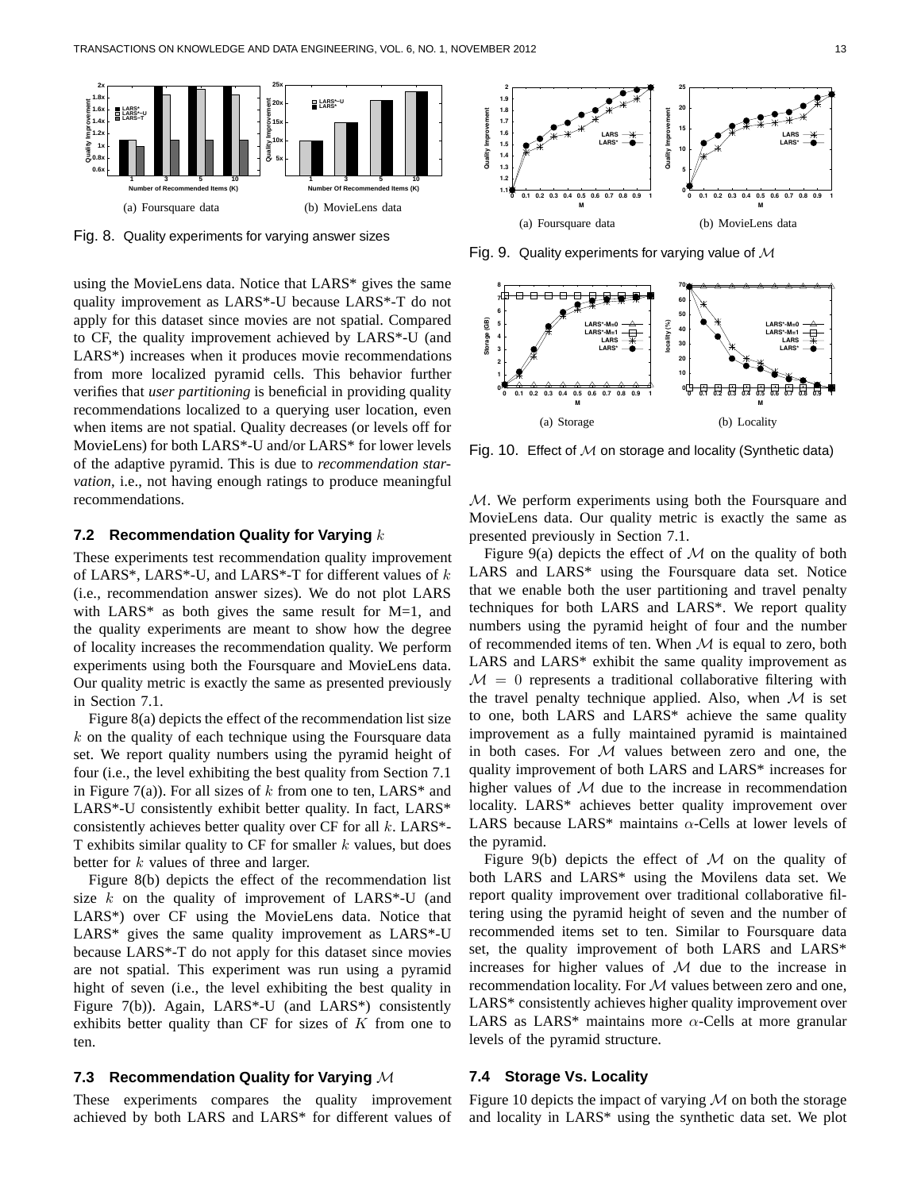

Fig. 8. Quality experiments for varying answer sizes

using the MovieLens data. Notice that LARS\* gives the same quality improvement as LARS\*-U because LARS\*-T do not apply for this dataset since movies are not spatial. Compared to CF, the quality improvement achieved by LARS\*-U (and LARS\*) increases when it produces movie recommendations from more localized pyramid cells. This behavior further verifies that *user partitioning* is beneficial in providing quality recommendations localized to a querying user location, even when items are not spatial. Quality decreases (or levels off for MovieLens) for both LARS\*-U and/or LARS\* for lower levels of the adaptive pyramid. This is due to *recommendation starvation*, i.e., not having enough ratings to produce meaningful recommendations.

#### **7.2 Recommendation Quality for Varying** k

These experiments test recommendation quality improvement of LARS\*, LARS\*-U, and LARS\*-T for different values of  $k$ (i.e., recommendation answer sizes). We do not plot LARS with LARS\* as both gives the same result for  $M=1$ , and the quality experiments are meant to show how the degree of locality increases the recommendation quality. We perform experiments using both the Foursquare and MovieLens data. Our quality metric is exactly the same as presented previously in Section 7.1.

Figure 8(a) depicts the effect of the recommendation list size  $k$  on the quality of each technique using the Foursquare data set. We report quality numbers using the pyramid height of four (i.e., the level exhibiting the best quality from Section 7.1 in Figure 7(a)). For all sizes of k from one to ten, LARS\* and LARS\*-U consistently exhibit better quality. In fact, LARS\* consistently achieves better quality over CF for all  $k$ . LARS\*-T exhibits similar quality to CF for smaller  $k$  values, but does better for  $k$  values of three and larger.

Figure 8(b) depicts the effect of the recommendation list size  $k$  on the quality of improvement of LARS\*-U (and LARS\*) over CF using the MovieLens data. Notice that LARS\* gives the same quality improvement as LARS\*-U because LARS\*-T do not apply for this dataset since movies are not spatial. This experiment was run using a pyramid hight of seven (i.e., the level exhibiting the best quality in Figure 7(b)). Again, LARS\*-U (and LARS\*) consistently exhibits better quality than CF for sizes of  $K$  from one to ten.

#### **7.3 Recommendation Quality for Varying** M

These experiments compares the quality improvement achieved by both LARS and LARS\* for different values of



Fig. 9. Quality experiments for varying value of  $M$ 



Fig. 10. Effect of  $M$  on storage and locality (Synthetic data)

M. We perform experiments using both the Foursquare and MovieLens data. Our quality metric is exactly the same as presented previously in Section 7.1.

Figure 9(a) depicts the effect of  $M$  on the quality of both LARS and LARS\* using the Foursquare data set. Notice that we enable both the user partitioning and travel penalty techniques for both LARS and LARS\*. We report quality numbers using the pyramid height of four and the number of recommended items of ten. When  $M$  is equal to zero, both LARS and LARS<sup>\*</sup> exhibit the same quality improvement as  $M = 0$  represents a traditional collaborative filtering with the travel penalty technique applied. Also, when  $\mathcal M$  is set to one, both LARS and LARS\* achieve the same quality improvement as a fully maintained pyramid is maintained in both cases. For  $M$  values between zero and one, the quality improvement of both LARS and LARS\* increases for higher values of  $M$  due to the increase in recommendation locality. LARS\* achieves better quality improvement over LARS because LARS\* maintains  $\alpha$ -Cells at lower levels of the pyramid.

Figure 9(b) depicts the effect of  $M$  on the quality of both LARS and LARS\* using the Movilens data set. We report quality improvement over traditional collaborative filtering using the pyramid height of seven and the number of recommended items set to ten. Similar to Foursquare data set, the quality improvement of both LARS and LARS\* increases for higher values of  $M$  due to the increase in recommendation locality. For  $M$  values between zero and one, LARS\* consistently achieves higher quality improvement over LARS as LARS\* maintains more  $\alpha$ -Cells at more granular levels of the pyramid structure.

#### **7.4 Storage Vs. Locality**

Figure 10 depicts the impact of varying  $M$  on both the storage and locality in LARS\* using the synthetic data set. We plot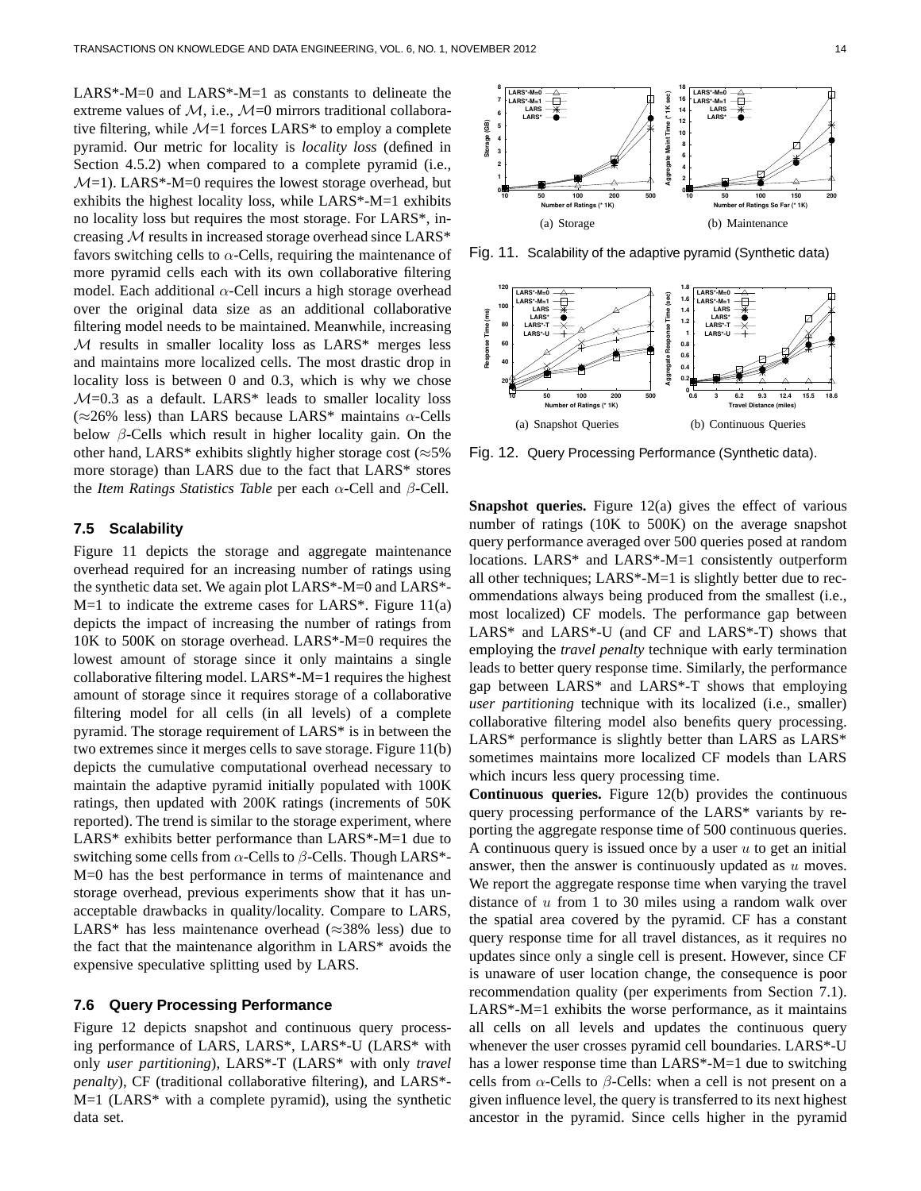$LARS*-M=0$  and  $LARS*-M=1$  as constants to delineate the extreme values of  $M$ , i.e.,  $M=0$  mirrors traditional collaborative filtering, while  $\mathcal{M}=1$  forces LARS\* to employ a complete pyramid. Our metric for locality is *locality loss* (defined in Section 4.5.2) when compared to a complete pyramid (i.e.,  $M=1$ ). LARS\*-M=0 requires the lowest storage overhead, but exhibits the highest locality loss, while LARS\*-M=1 exhibits no locality loss but requires the most storage. For LARS\*, increasing M results in increased storage overhead since LARS\* favors switching cells to  $\alpha$ -Cells, requiring the maintenance of more pyramid cells each with its own collaborative filtering model. Each additional  $\alpha$ -Cell incurs a high storage overhead over the original data size as an additional collaborative filtering model needs to be maintained. Meanwhile, increasing M results in smaller locality loss as LARS\* merges less and maintains more localized cells. The most drastic drop in locality loss is between 0 and 0.3, which is why we chose  $M=0.3$  as a default. LARS\* leads to smaller locality loss (≈26% less) than LARS because LARS\* maintains α-Cells below  $\beta$ -Cells which result in higher locality gain. On the other hand, LARS\* exhibits slightly higher storage cost ( $\approx$ 5%) more storage) than LARS due to the fact that LARS\* stores the *Item Ratings Statistics Table* per each α-Cell and β-Cell.

## **7.5 Scalability**

Figure 11 depicts the storage and aggregate maintenance overhead required for an increasing number of ratings using the synthetic data set. We again plot LARS\*-M=0 and LARS\*-  $M=1$  to indicate the extreme cases for LARS\*. Figure 11(a) depicts the impact of increasing the number of ratings from 10K to 500K on storage overhead. LARS\*-M=0 requires the lowest amount of storage since it only maintains a single collaborative filtering model. LARS\*-M=1 requires the highest amount of storage since it requires storage of a collaborative filtering model for all cells (in all levels) of a complete pyramid. The storage requirement of LARS\* is in between the two extremes since it merges cells to save storage. Figure 11(b) depicts the cumulative computational overhead necessary to maintain the adaptive pyramid initially populated with 100K ratings, then updated with 200K ratings (increments of 50K reported). The trend is similar to the storage experiment, where LARS\* exhibits better performance than LARS\*-M=1 due to switching some cells from  $\alpha$ -Cells to  $\beta$ -Cells. Though LARS<sup>\*</sup>-M=0 has the best performance in terms of maintenance and storage overhead, previous experiments show that it has unacceptable drawbacks in quality/locality. Compare to LARS, LARS\* has less maintenance overhead ( $\approx$ 38% less) due to the fact that the maintenance algorithm in LARS\* avoids the expensive speculative splitting used by LARS.

#### **7.6 Query Processing Performance**

Figure 12 depicts snapshot and continuous query processing performance of LARS, LARS\*, LARS\*-U (LARS\* with only *user partitioning*), LARS\*-T (LARS\* with only *travel penalty*), CF (traditional collaborative filtering), and LARS\*- M=1 (LARS\* with a complete pyramid), using the synthetic data set.



Fig. 11. Scalability of the adaptive pyramid (Synthetic data)



Fig. 12. Query Processing Performance (Synthetic data).

**Snapshot queries.** Figure 12(a) gives the effect of various number of ratings (10K to 500K) on the average snapshot query performance averaged over 500 queries posed at random locations. LARS\* and LARS\*-M=1 consistently outperform all other techniques; LARS\*-M=1 is slightly better due to recommendations always being produced from the smallest (i.e., most localized) CF models. The performance gap between  $LARS*$  and  $LARS*$ -U (and CF and  $LARS*$ -T) shows that employing the *travel penalty* technique with early termination leads to better query response time. Similarly, the performance gap between LARS\* and LARS\*-T shows that employing *user partitioning* technique with its localized (i.e., smaller) collaborative filtering model also benefits query processing. LARS\* performance is slightly better than LARS as LARS\* sometimes maintains more localized CF models than LARS which incurs less query processing time.

**Continuous queries.** Figure 12(b) provides the continuous query processing performance of the LARS\* variants by reporting the aggregate response time of 500 continuous queries. A continuous query is issued once by a user  $u$  to get an initial answer, then the answer is continuously updated as  $u$  moves. We report the aggregate response time when varying the travel distance of  $u$  from 1 to 30 miles using a random walk over the spatial area covered by the pyramid. CF has a constant query response time for all travel distances, as it requires no updates since only a single cell is present. However, since CF is unaware of user location change, the consequence is poor recommendation quality (per experiments from Section 7.1).  $LARS*-M=1$  exhibits the worse performance, as it maintains all cells on all levels and updates the continuous query whenever the user crosses pyramid cell boundaries. LARS\*-U has a lower response time than LARS\*-M=1 due to switching cells from  $\alpha$ -Cells to  $\beta$ -Cells: when a cell is not present on a given influence level, the query is transferred to its next highest ancestor in the pyramid. Since cells higher in the pyramid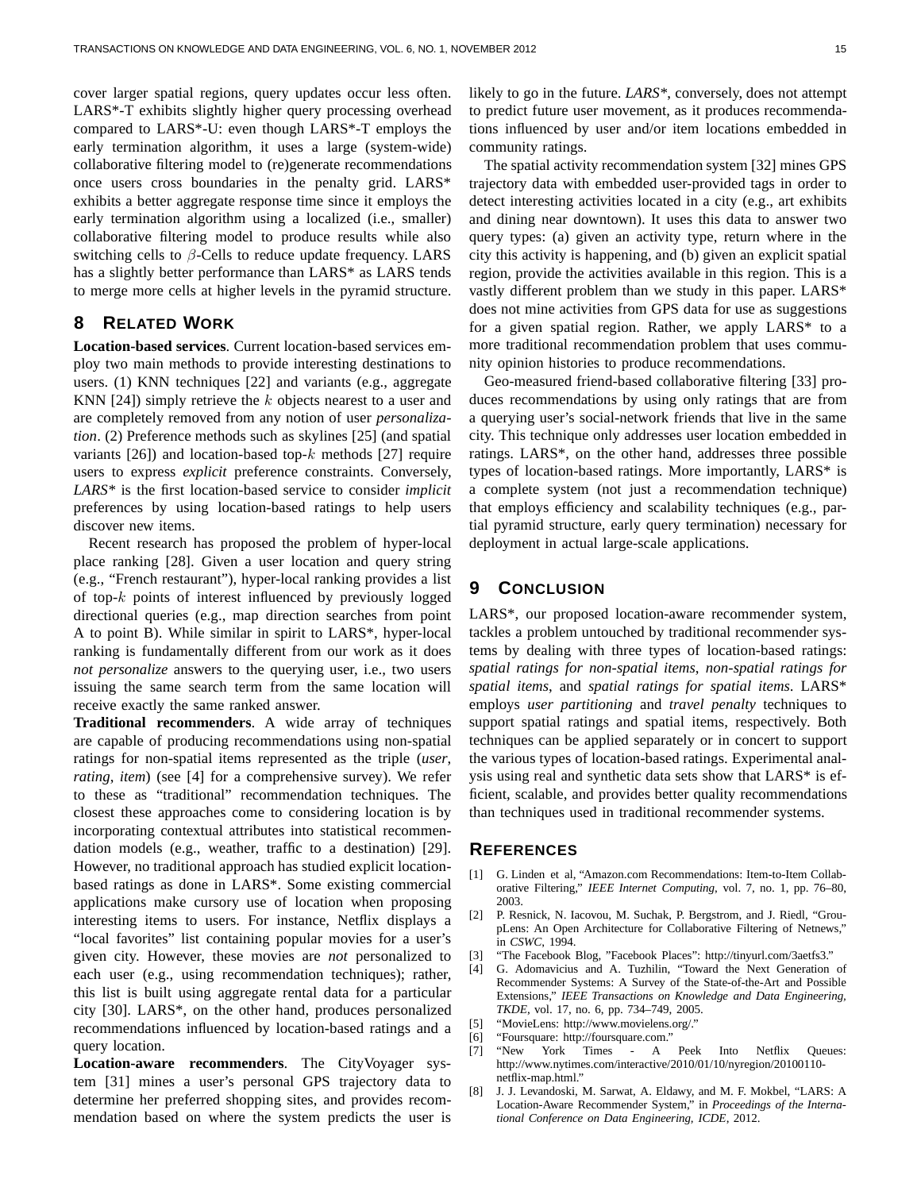cover larger spatial regions, query updates occur less often. LARS\*-T exhibits slightly higher query processing overhead compared to LARS\*-U: even though LARS\*-T employs the early termination algorithm, it uses a large (system-wide) collaborative filtering model to (re)generate recommendations once users cross boundaries in the penalty grid. LARS\* exhibits a better aggregate response time since it employs the early termination algorithm using a localized (i.e., smaller) collaborative filtering model to produce results while also switching cells to  $\beta$ -Cells to reduce update frequency. LARS has a slightly better performance than LARS<sup>\*</sup> as LARS tends to merge more cells at higher levels in the pyramid structure.

# **8 RELATED WORK**

**Location-based services**. Current location-based services employ two main methods to provide interesting destinations to users. (1) KNN techniques [22] and variants (e.g., aggregate KNN [24]) simply retrieve the k objects nearest to a user and are completely removed from any notion of user *personalization*. (2) Preference methods such as skylines [25] (and spatial variants  $[26]$ ) and location-based top- $k$  methods  $[27]$  require users to express *explicit* preference constraints. Conversely, *LARS\** is the first location-based service to consider *implicit* preferences by using location-based ratings to help users discover new items.

Recent research has proposed the problem of hyper-local place ranking [28]. Given a user location and query string (e.g., "French restaurant"), hyper-local ranking provides a list of top- $k$  points of interest influenced by previously logged directional queries (e.g., map direction searches from point A to point B). While similar in spirit to LARS\*, hyper-local ranking is fundamentally different from our work as it does *not personalize* answers to the querying user, i.e., two users issuing the same search term from the same location will receive exactly the same ranked answer.

**Traditional recommenders**. A wide array of techniques are capable of producing recommendations using non-spatial ratings for non-spatial items represented as the triple (*user*, *rating*, *item*) (see [4] for a comprehensive survey). We refer to these as "traditional" recommendation techniques. The closest these approaches come to considering location is by incorporating contextual attributes into statistical recommendation models (e.g., weather, traffic to a destination) [29]. However, no traditional approach has studied explicit locationbased ratings as done in LARS\*. Some existing commercial applications make cursory use of location when proposing interesting items to users. For instance, Netflix displays a "local favorites" list containing popular movies for a user's given city. However, these movies are *not* personalized to each user (e.g., using recommendation techniques); rather, this list is built using aggregate rental data for a particular city [30]. LARS\*, on the other hand, produces personalized recommendations influenced by location-based ratings and a query location.

**Location-aware recommenders**. The CityVoyager system [31] mines a user's personal GPS trajectory data to determine her preferred shopping sites, and provides recommendation based on where the system predicts the user is likely to go in the future. *LARS\**, conversely, does not attempt to predict future user movement, as it produces recommendations influenced by user and/or item locations embedded in community ratings.

The spatial activity recommendation system [32] mines GPS trajectory data with embedded user-provided tags in order to detect interesting activities located in a city (e.g., art exhibits and dining near downtown). It uses this data to answer two query types: (a) given an activity type, return where in the city this activity is happening, and (b) given an explicit spatial region, provide the activities available in this region. This is a vastly different problem than we study in this paper. LARS\* does not mine activities from GPS data for use as suggestions for a given spatial region. Rather, we apply LARS\* to a more traditional recommendation problem that uses community opinion histories to produce recommendations.

Geo-measured friend-based collaborative filtering [33] produces recommendations by using only ratings that are from a querying user's social-network friends that live in the same city. This technique only addresses user location embedded in ratings. LARS\*, on the other hand, addresses three possible types of location-based ratings. More importantly, LARS\* is a complete system (not just a recommendation technique) that employs efficiency and scalability techniques (e.g., partial pyramid structure, early query termination) necessary for deployment in actual large-scale applications.

# **9 CONCLUSION**

LARS\*, our proposed location-aware recommender system, tackles a problem untouched by traditional recommender systems by dealing with three types of location-based ratings: *spatial ratings for non-spatial items*, *non-spatial ratings for spatial items*, and *spatial ratings for spatial items*. LARS\* employs *user partitioning* and *travel penalty* techniques to support spatial ratings and spatial items, respectively. Both techniques can be applied separately or in concert to support the various types of location-based ratings. Experimental analysis using real and synthetic data sets show that LARS\* is efficient, scalable, and provides better quality recommendations than techniques used in traditional recommender systems.

## **REFERENCES**

- [1] G. Linden et al, "Amazon.com Recommendations: Item-to-Item Collaborative Filtering," *IEEE Internet Computing*, vol. 7, no. 1, pp. 76–80, 2003.
- [2] P. Resnick, N. Iacovou, M. Suchak, P. Bergstrom, and J. Riedl, "GroupLens: An Open Architecture for Collaborative Filtering of Netnews," in *CSWC*, 1994.
- [3] "The Facebook Blog, "Facebook Places": http://tinyurl.com/3aetfs3."
- [4] G. Adomavicius and A. Tuzhilin, "Toward the Next Generation of Recommender Systems: A Survey of the State-of-the-Art and Possible Extensions," *IEEE Transactions on Knowledge and Data Engineering, TKDE*, vol. 17, no. 6, pp. 734–749, 2005.
- [5] "MovieLens: http://www.movielens.org/."
- [6] "Foursquare: http://foursquare.com."
- [7] "New York Times A Peek Into Netflix Queues: http://www.nytimes.com/interactive/2010/01/10/nyregion/20100110 netflix-map.html."
- [8] J. J. Levandoski, M. Sarwat, A. Eldawy, and M. F. Mokbel, "LARS: A Location-Aware Recommender System," in *Proceedings of the International Conference on Data Engineering, ICDE*, 2012.